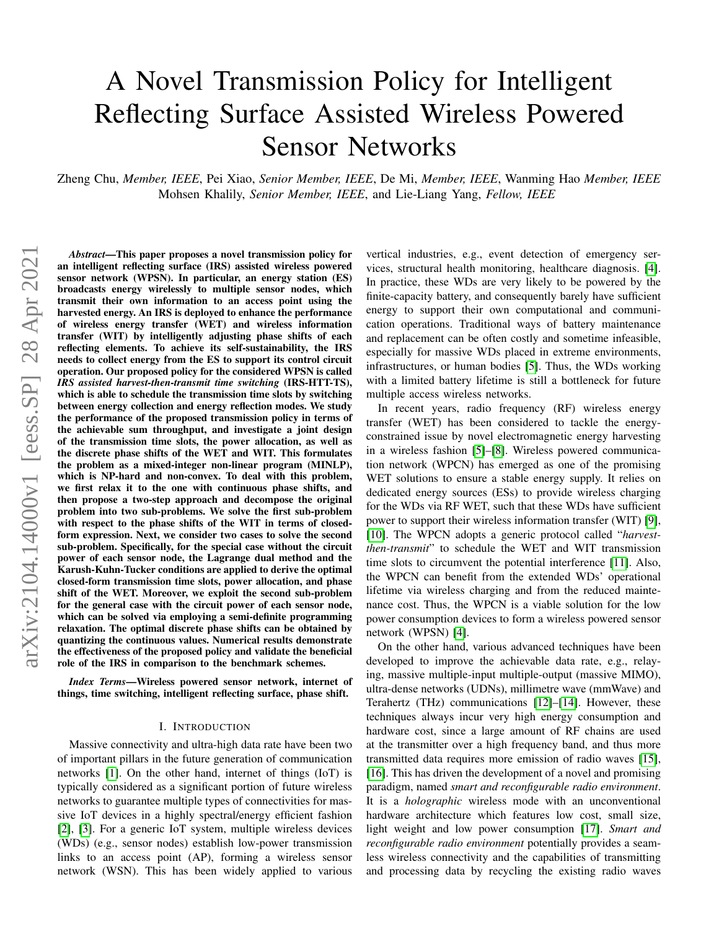# A Novel Transmission Policy for Intelligent Reflecting Surface Assisted Wireless Powered Sensor Networks

Zheng Chu, *Member, IEEE*, Pei Xiao, *Senior Member, IEEE*, De Mi, *Member, IEEE*, Wanming Hao *Member, IEEE* Mohsen Khalily, *Senior Member, IEEE*, and Lie-Liang Yang, *Fellow, IEEE*

*Abstract*—This paper proposes a novel transmission policy for an intelligent reflecting surface (IRS) assisted wireless powered sensor network (WPSN). In particular, an energy station (ES) broadcasts energy wirelessly to multiple sensor nodes, which transmit their own information to an access point using the harvested energy. An IRS is deployed to enhance the performance of wireless energy transfer (WET) and wireless information transfer (WIT) by intelligently adjusting phase shifts of each reflecting elements. To achieve its self-sustainability, the IRS needs to collect energy from the ES to support its control circuit operation. Our proposed policy for the considered WPSN is called *IRS assisted harvest-then-transmit time switching* (IRS-HTT-TS), which is able to schedule the transmission time slots by switching between energy collection and energy reflection modes. We study the performance of the proposed transmission policy in terms of the achievable sum throughput, and investigate a joint design of the transmission time slots, the power allocation, as well as the discrete phase shifts of the WET and WIT. This formulates the problem as a mixed-integer non-linear program (MINLP), which is NP-hard and non-convex. To deal with this problem, we first relax it to the one with continuous phase shifts, and then propose a two-step approach and decompose the original problem into two sub-problems. We solve the first sub-problem with respect to the phase shifts of the WIT in terms of closedform expression. Next, we consider two cases to solve the second sub-problem. Specifically, for the special case without the circuit power of each sensor node, the Lagrange dual method and the Karush-Kuhn-Tucker conditions are applied to derive the optimal closed-form transmission time slots, power allocation, and phase shift of the WET. Moreover, we exploit the second sub-problem for the general case with the circuit power of each sensor node, which can be solved via employing a semi-definite programming relaxation. The optimal discrete phase shifts can be obtained by quantizing the continuous values. Numerical results demonstrate the effectiveness of the proposed policy and validate the beneficial role of the IRS in comparison to the benchmark schemes.

*Index Terms*—Wireless powered sensor network, internet of things, time switching, intelligent reflecting surface, phase shift.

#### I. INTRODUCTION

Massive connectivity and ultra-high data rate have been two of important pillars in the future generation of communication networks [\[1\]](#page-14-0). On the other hand, internet of things (IoT) is typically considered as a significant portion of future wireless networks to guarantee multiple types of connectivities for massive IoT devices in a highly spectral/energy efficient fashion [\[2\]](#page-14-1), [\[3\]](#page-14-2). For a generic IoT system, multiple wireless devices (WDs) (e.g., sensor nodes) establish low-power transmission links to an access point (AP), forming a wireless sensor network (WSN). This has been widely applied to various

vertical industries, e.g., event detection of emergency services, structural health monitoring, healthcare diagnosis. [\[4\]](#page-14-3). In practice, these WDs are very likely to be powered by the finite-capacity battery, and consequently barely have sufficient energy to support their own computational and communication operations. Traditional ways of battery maintenance and replacement can be often costly and sometime infeasible, especially for massive WDs placed in extreme environments, infrastructures, or human bodies [\[5\]](#page-14-4). Thus, the WDs working with a limited battery lifetime is still a bottleneck for future multiple access wireless networks.

In recent years, radio frequency (RF) wireless energy transfer (WET) has been considered to tackle the energyconstrained issue by novel electromagnetic energy harvesting in a wireless fashion [\[5\]](#page-14-4)–[\[8\]](#page-14-5). Wireless powered communication network (WPCN) has emerged as one of the promising WET solutions to ensure a stable energy supply. It relies on dedicated energy sources (ESs) to provide wireless charging for the WDs via RF WET, such that these WDs have sufficient power to support their wireless information transfer (WIT) [\[9\]](#page-14-6), [\[10\]](#page-14-7). The WPCN adopts a generic protocol called "*harvestthen-transmit*" to schedule the WET and WIT transmission time slots to circumvent the potential interference [\[11\]](#page-14-8). Also, the WPCN can benefit from the extended WDs' operational lifetime via wireless charging and from the reduced maintenance cost. Thus, the WPCN is a viable solution for the low power consumption devices to form a wireless powered sensor network (WPSN) [\[4\]](#page-14-3).

On the other hand, various advanced techniques have been developed to improve the achievable data rate, e.g., relaying, massive multiple-input multiple-output (massive MIMO), ultra-dense networks (UDNs), millimetre wave (mmWave) and Terahertz (THz) communications [\[12\]](#page-14-9)–[\[14\]](#page-14-10). However, these techniques always incur very high energy consumption and hardware cost, since a large amount of RF chains are used at the transmitter over a high frequency band, and thus more transmitted data requires more emission of radio waves [\[15\]](#page-14-11), [\[16\]](#page-14-12). This has driven the development of a novel and promising paradigm, named *smart and reconfigurable radio environment*. It is a *holographic* wireless mode with an unconventional hardware architecture which features low cost, small size, light weight and low power consumption [\[17\]](#page-14-13). *Smart and reconfigurable radio environment* potentially provides a seamless wireless connectivity and the capabilities of transmitting and processing data by recycling the existing radio waves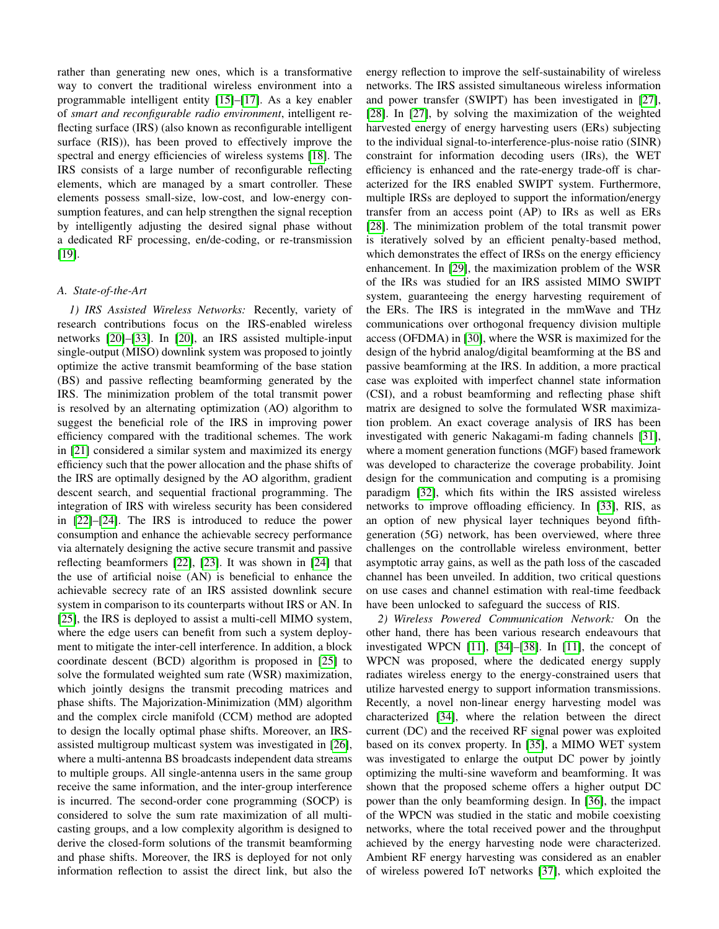rather than generating new ones, which is a transformative way to convert the traditional wireless environment into a programmable intelligent entity [\[15\]](#page-14-11)–[\[17\]](#page-14-13). As a key enabler of *smart and reconfigurable radio environment*, intelligent reflecting surface (IRS) (also known as reconfigurable intelligent surface (RIS)), has been proved to effectively improve the spectral and energy efficiencies of wireless systems [\[18\]](#page-14-14). The IRS consists of a large number of reconfigurable reflecting elements, which are managed by a smart controller. These elements possess small-size, low-cost, and low-energy consumption features, and can help strengthen the signal reception by intelligently adjusting the desired signal phase without a dedicated RF processing, en/de-coding, or re-transmission [\[19\]](#page-14-15).

# *A. State-of-the-Art*

*1) IRS Assisted Wireless Networks:* Recently, variety of research contributions focus on the IRS-enabled wireless networks [\[20\]](#page-14-16)–[\[33\]](#page-15-0). In [\[20\]](#page-14-16), an IRS assisted multiple-input single-output (MISO) downlink system was proposed to jointly optimize the active transmit beamforming of the base station (BS) and passive reflecting beamforming generated by the IRS. The minimization problem of the total transmit power is resolved by an alternating optimization (AO) algorithm to suggest the beneficial role of the IRS in improving power efficiency compared with the traditional schemes. The work in [\[21\]](#page-14-17) considered a similar system and maximized its energy efficiency such that the power allocation and the phase shifts of the IRS are optimally designed by the AO algorithm, gradient descent search, and sequential fractional programming. The integration of IRS with wireless security has been considered in [\[22\]](#page-14-18)–[\[24\]](#page-14-19). The IRS is introduced to reduce the power consumption and enhance the achievable secrecy performance via alternately designing the active secure transmit and passive reflecting beamformers [\[22\]](#page-14-18), [\[23\]](#page-14-20). It was shown in [\[24\]](#page-14-19) that the use of artificial noise (AN) is beneficial to enhance the achievable secrecy rate of an IRS assisted downlink secure system in comparison to its counterparts without IRS or AN. In [\[25\]](#page-15-1), the IRS is deployed to assist a multi-cell MIMO system, where the edge users can benefit from such a system deployment to mitigate the inter-cell interference. In addition, a block coordinate descent (BCD) algorithm is proposed in [\[25\]](#page-15-1) to solve the formulated weighted sum rate (WSR) maximization, which jointly designs the transmit precoding matrices and phase shifts. The Majorization-Minimization (MM) algorithm and the complex circle manifold (CCM) method are adopted to design the locally optimal phase shifts. Moreover, an IRSassisted multigroup multicast system was investigated in [\[26\]](#page-15-2), where a multi-antenna BS broadcasts independent data streams to multiple groups. All single-antenna users in the same group receive the same information, and the inter-group interference is incurred. The second-order cone programming (SOCP) is considered to solve the sum rate maximization of all multicasting groups, and a low complexity algorithm is designed to derive the closed-form solutions of the transmit beamforming and phase shifts. Moreover, the IRS is deployed for not only information reflection to assist the direct link, but also the energy reflection to improve the self-sustainability of wireless networks. The IRS assisted simultaneous wireless information and power transfer (SWIPT) has been investigated in [\[27\]](#page-15-3), [\[28\]](#page-15-4). In [\[27\]](#page-15-3), by solving the maximization of the weighted harvested energy of energy harvesting users (ERs) subjecting to the individual signal-to-interference-plus-noise ratio (SINR) constraint for information decoding users (IRs), the WET efficiency is enhanced and the rate-energy trade-off is characterized for the IRS enabled SWIPT system. Furthermore, multiple IRSs are deployed to support the information/energy transfer from an access point (AP) to IRs as well as ERs [\[28\]](#page-15-4). The minimization problem of the total transmit power is iteratively solved by an efficient penalty-based method, which demonstrates the effect of IRSs on the energy efficiency enhancement. In [\[29\]](#page-15-5), the maximization problem of the WSR of the IRs was studied for an IRS assisted MIMO SWIPT system, guaranteeing the energy harvesting requirement of the ERs. The IRS is integrated in the mmWave and THz communications over orthogonal frequency division multiple access (OFDMA) in [\[30\]](#page-15-6), where the WSR is maximized for the design of the hybrid analog/digital beamforming at the BS and passive beamforming at the IRS. In addition, a more practical case was exploited with imperfect channel state information (CSI), and a robust beamforming and reflecting phase shift matrix are designed to solve the formulated WSR maximization problem. An exact coverage analysis of IRS has been investigated with generic Nakagami-m fading channels [\[31\]](#page-15-7), where a moment generation functions (MGF) based framework was developed to characterize the coverage probability. Joint design for the communication and computing is a promising paradigm [\[32\]](#page-15-8), which fits within the IRS assisted wireless networks to improve offloading efficiency. In [\[33\]](#page-15-0), RIS, as an option of new physical layer techniques beyond fifthgeneration (5G) network, has been overviewed, where three challenges on the controllable wireless environment, better asymptotic array gains, as well as the path loss of the cascaded channel has been unveiled. In addition, two critical questions on use cases and channel estimation with real-time feedback have been unlocked to safeguard the success of RIS.

*2) Wireless Powered Communication Network:* On the other hand, there has been various research endeavours that investigated WPCN [\[11\]](#page-14-8), [\[34\]](#page-15-9)–[\[38\]](#page-15-10). In [\[11\]](#page-14-8), the concept of WPCN was proposed, where the dedicated energy supply radiates wireless energy to the energy-constrained users that utilize harvested energy to support information transmissions. Recently, a novel non-linear energy harvesting model was characterized [\[34\]](#page-15-9), where the relation between the direct current (DC) and the received RF signal power was exploited based on its convex property. In [\[35\]](#page-15-11), a MIMO WET system was investigated to enlarge the output DC power by jointly optimizing the multi-sine waveform and beamforming. It was shown that the proposed scheme offers a higher output DC power than the only beamforming design. In [\[36\]](#page-15-12), the impact of the WPCN was studied in the static and mobile coexisting networks, where the total received power and the throughput achieved by the energy harvesting node were characterized. Ambient RF energy harvesting was considered as an enabler of wireless powered IoT networks [\[37\]](#page-15-13), which exploited the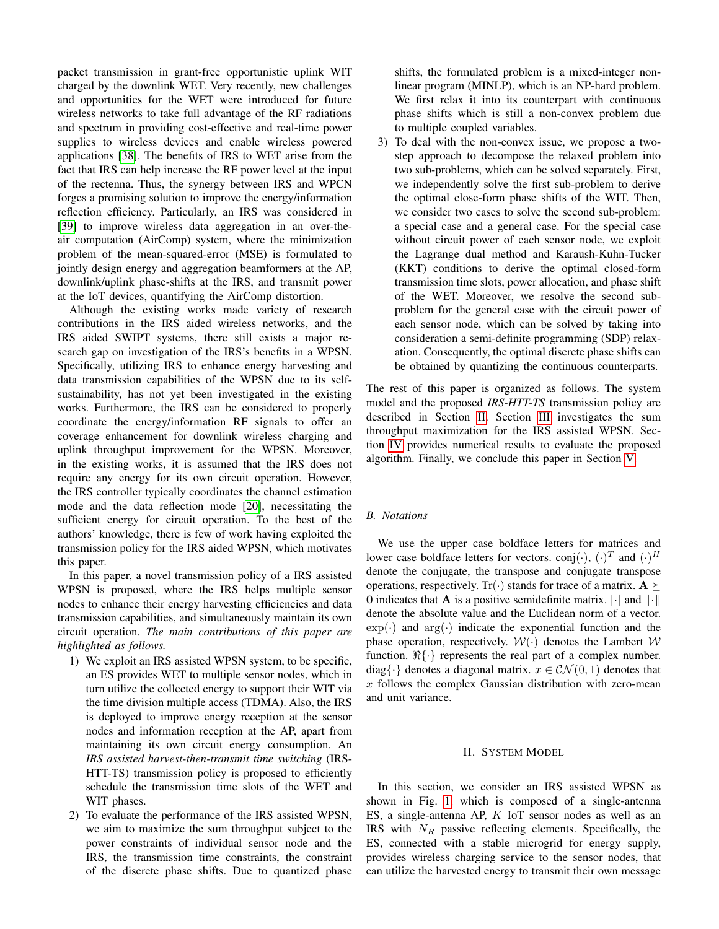packet transmission in grant-free opportunistic uplink WIT charged by the downlink WET. Very recently, new challenges and opportunities for the WET were introduced for future wireless networks to take full advantage of the RF radiations and spectrum in providing cost-effective and real-time power supplies to wireless devices and enable wireless powered applications [\[38\]](#page-15-10). The benefits of IRS to WET arise from the fact that IRS can help increase the RF power level at the input of the rectenna. Thus, the synergy between IRS and WPCN forges a promising solution to improve the energy/information reflection efficiency. Particularly, an IRS was considered in [\[39\]](#page-15-14) to improve wireless data aggregation in an over-theair computation (AirComp) system, where the minimization problem of the mean-squared-error (MSE) is formulated to jointly design energy and aggregation beamformers at the AP, downlink/uplink phase-shifts at the IRS, and transmit power at the IoT devices, quantifying the AirComp distortion.

Although the existing works made variety of research contributions in the IRS aided wireless networks, and the IRS aided SWIPT systems, there still exists a major research gap on investigation of the IRS's benefits in a WPSN. Specifically, utilizing IRS to enhance energy harvesting and data transmission capabilities of the WPSN due to its selfsustainability, has not yet been investigated in the existing works. Furthermore, the IRS can be considered to properly coordinate the energy/information RF signals to offer an coverage enhancement for downlink wireless charging and uplink throughput improvement for the WPSN. Moreover, in the existing works, it is assumed that the IRS does not require any energy for its own circuit operation. However, the IRS controller typically coordinates the channel estimation mode and the data reflection mode [\[20\]](#page-14-16), necessitating the sufficient energy for circuit operation. To the best of the authors' knowledge, there is few of work having exploited the transmission policy for the IRS aided WPSN, which motivates this paper.

In this paper, a novel transmission policy of a IRS assisted WPSN is proposed, where the IRS helps multiple sensor nodes to enhance their energy harvesting efficiencies and data transmission capabilities, and simultaneously maintain its own circuit operation. *The main contributions of this paper are highlighted as follows.*

- 1) We exploit an IRS assisted WPSN system, to be specific, an ES provides WET to multiple sensor nodes, which in turn utilize the collected energy to support their WIT via the time division multiple access (TDMA). Also, the IRS is deployed to improve energy reception at the sensor nodes and information reception at the AP, apart from maintaining its own circuit energy consumption. An *IRS assisted harvest-then-transmit time switching* (IRS-HTT-TS) transmission policy is proposed to efficiently schedule the transmission time slots of the WET and WIT phases.
- 2) To evaluate the performance of the IRS assisted WPSN, we aim to maximize the sum throughput subject to the power constraints of individual sensor node and the IRS, the transmission time constraints, the constraint of the discrete phase shifts. Due to quantized phase

shifts, the formulated problem is a mixed-integer nonlinear program (MINLP), which is an NP-hard problem. We first relax it into its counterpart with continuous phase shifts which is still a non-convex problem due to multiple coupled variables.

3) To deal with the non-convex issue, we propose a twostep approach to decompose the relaxed problem into two sub-problems, which can be solved separately. First, we independently solve the first sub-problem to derive the optimal close-form phase shifts of the WIT. Then, we consider two cases to solve the second sub-problem: a special case and a general case. For the special case without circuit power of each sensor node, we exploit the Lagrange dual method and Karaush-Kuhn-Tucker (KKT) conditions to derive the optimal closed-form transmission time slots, power allocation, and phase shift of the WET. Moreover, we resolve the second subproblem for the general case with the circuit power of each sensor node, which can be solved by taking into consideration a semi-definite programming (SDP) relaxation. Consequently, the optimal discrete phase shifts can be obtained by quantizing the continuous counterparts.

The rest of this paper is organized as follows. The system model and the proposed *IRS-HTT-TS* transmission policy are described in Section [II.](#page-2-0) Section [III](#page-5-0) investigates the sum throughput maximization for the IRS assisted WPSN. Section [IV](#page-8-0) provides numerical results to evaluate the proposed algorithm. Finally, we conclude this paper in Section [V.](#page-12-0)

## *B. Notations*

We use the upper case boldface letters for matrices and lower case boldface letters for vectors. conj $(\cdot)$ ,  $(\cdot)^T$  and  $(\cdot)^H$ denote the conjugate, the transpose and conjugate transpose operations, respectively. Tr( $\cdot$ ) stands for trace of a matrix.  $A \succeq$ 0 indicates that **A** is a positive semidefinite matrix.  $\lVert \cdot \rVert$  and  $\lVert \cdot \rVert$ denote the absolute value and the Euclidean norm of a vector.  $\exp(\cdot)$  and  $\arg(\cdot)$  indicate the exponential function and the phase operation, respectively.  $W(\cdot)$  denotes the Lambert W function.  $\Re\{\cdot\}$  represents the real part of a complex number. diag $\{\cdot\}$  denotes a diagonal matrix.  $x \in \mathcal{CN}(0, 1)$  denotes that  $x$  follows the complex Gaussian distribution with zero-mean and unit variance.

#### II. SYSTEM MODEL

<span id="page-2-0"></span>In this section, we consider an IRS assisted WPSN as shown in Fig. [1,](#page-3-0) which is composed of a single-antenna ES, a single-antenna AP, K IoT sensor nodes as well as an IRS with  $N_R$  passive reflecting elements. Specifically, the ES, connected with a stable microgrid for energy supply, provides wireless charging service to the sensor nodes, that can utilize the harvested energy to transmit their own message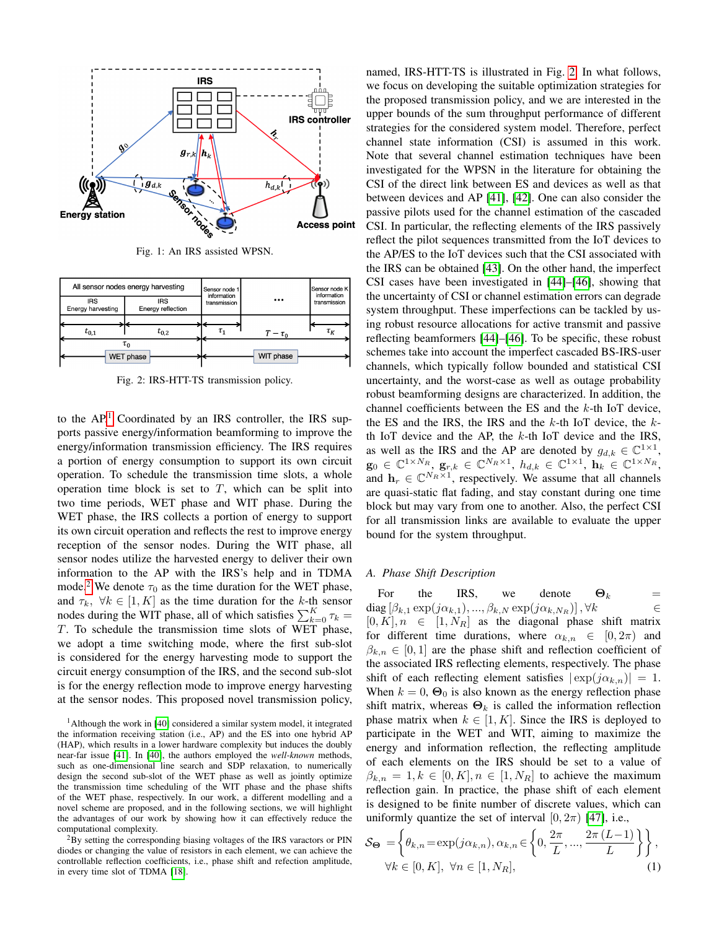<span id="page-3-0"></span>

Fig. 1: An IRS assisted WPSN.

<span id="page-3-3"></span>

Fig. 2: IRS-HTT-TS transmission policy.

to the  $AP<sup>1</sup>$  $AP<sup>1</sup>$  $AP<sup>1</sup>$  Coordinated by an IRS controller, the IRS supports passive energy/information beamforming to improve the energy/information transmission efficiency. The IRS requires a portion of energy consumption to support its own circuit operation. To schedule the transmission time slots, a whole operation time block is set to  $T$ , which can be split into two time periods, WET phase and WIT phase. During the WET phase, the IRS collects a portion of energy to support its own circuit operation and reflects the rest to improve energy reception of the sensor nodes. During the WIT phase, all sensor nodes utilize the harvested energy to deliver their own information to the AP with the IRS's help and in TDMA mode.<sup>[2](#page-3-2)</sup> We denote  $\tau_0$  as the time duration for the WET phase, and  $\tau_k$ ,  $\forall k \in [1, K]$  as the time duration for the k-th sensor nodes during the WIT phase, all of which satisfies  $\sum_{k=0}^{K} \tau_k =$ T. To schedule the transmission time slots of WET phase, we adopt a time switching mode, where the first sub-slot is considered for the energy harvesting mode to support the circuit energy consumption of the IRS, and the second sub-slot is for the energy reflection mode to improve energy harvesting at the sensor nodes. This proposed novel transmission policy,

<span id="page-3-1"></span><sup>1</sup>Although the work in [\[40\]](#page-15-15) considered a similar system model, it integrated the information receiving station (i.e., AP) and the ES into one hybrid AP (HAP), which results in a lower hardware complexity but induces the doubly near-far issue [\[41\]](#page-15-16). In [\[40\]](#page-15-15), the authors employed the *well-known* methods, such as one-dimensional line search and SDP relaxation, to numerically design the second sub-slot of the WET phase as well as jointly optimize the transmission time scheduling of the WIT phase and the phase shifts of the WET phase, respectively. In our work, a different modelling and a novel scheme are proposed, and in the following sections, we will highlight the advantages of our work by showing how it can effectively reduce the computational complexity.

<span id="page-3-2"></span><sup>2</sup>By setting the corresponding biasing voltages of the IRS varactors or PIN diodes or changing the value of resistors in each element, we can achieve the controllable reflection coefficients, i.e., phase shift and refection amplitude, in every time slot of TDMA [\[18\]](#page-14-14).

named, IRS-HTT-TS is illustrated in Fig. [2.](#page-3-3) In what follows, we focus on developing the suitable optimization strategies for the proposed transmission policy, and we are interested in the upper bounds of the sum throughput performance of different strategies for the considered system model. Therefore, perfect channel state information (CSI) is assumed in this work. Note that several channel estimation techniques have been investigated for the WPSN in the literature for obtaining the CSI of the direct link between ES and devices as well as that between devices and AP [\[41\]](#page-15-16), [\[42\]](#page-15-17). One can also consider the passive pilots used for the channel estimation of the cascaded CSI. In particular, the reflecting elements of the IRS passively reflect the pilot sequences transmitted from the IoT devices to the AP/ES to the IoT devices such that the CSI associated with the IRS can be obtained [\[43\]](#page-15-18). On the other hand, the imperfect CSI cases have been investigated in [\[44\]](#page-15-19)–[\[46\]](#page-15-20), showing that the uncertainty of CSI or channel estimation errors can degrade system throughput. These imperfections can be tackled by using robust resource allocations for active transmit and passive reflecting beamformers [\[44\]](#page-15-19)–[\[46\]](#page-15-20). To be specific, these robust schemes take into account the imperfect cascaded BS-IRS-user channels, which typically follow bounded and statistical CSI uncertainty, and the worst-case as well as outage probability robust beamforming designs are characterized. In addition, the channel coefficients between the ES and the  $k$ -th IoT device, the ES and the IRS, the IRS and the  $k$ -th IoT device, the  $k$ th IoT device and the AP, the  $k$ -th IoT device and the IRS, as well as the IRS and the AP are denoted by  $g_{d,k} \in \mathbb{C}^{1 \times 1}$ ,  $\mathbf{g}_0 \in \mathbb{C}^{1 \times N_R}, \ \mathbf{g}_{r,k} \in \mathbb{C}^{N_R \times 1}, \ h_{d,k} \in \mathbb{C}^{1 \times 1}, \ \mathbf{h}_k \in \mathbb{C}^{1 \times N_R},$ and  $\mathbf{h}_r \in \mathbb{C}^{N_R \times 1}$ , respectively. We assume that all channels are quasi-static flat fading, and stay constant during one time block but may vary from one to another. Also, the perfect CSI for all transmission links are available to evaluate the upper bound for the system throughput.

#### *A. Phase Shift Description*

For the IRS, we denote  $\Theta_k$  = diag  $[\beta_{k,1} \exp(j\alpha_{k,1}), ..., \beta_{k,N} \exp(j\alpha_{k,N_R})], \forall k \in$  $[0, K], n \in [1, N_R]$  as the diagonal phase shift matrix for different time durations, where  $\alpha_{k,n} \in [0, 2\pi)$  and  $\beta_{k,n} \in [0,1]$  are the phase shift and reflection coefficient of the associated IRS reflecting elements, respectively. The phase shift of each reflecting element satisfies  $|\exp(j\alpha_{k,n})|=1$ . When  $k = 0$ ,  $\Theta_0$  is also known as the energy reflection phase shift matrix, whereas  $\Theta_k$  is called the information reflection phase matrix when  $k \in [1, K]$ . Since the IRS is deployed to participate in the WET and WIT, aiming to maximize the energy and information reflection, the reflecting amplitude of each elements on the IRS should be set to a value of  $\beta_{k,n} = 1, k \in [0, K], n \in [1, N_R]$  to achieve the maximum reflection gain. In practice, the phase shift of each element is designed to be finite number of discrete values, which can uniformly quantize the set of interval  $[0, 2\pi)$  [\[47\]](#page-15-21), i.e.,

<span id="page-3-4"></span>
$$
\mathcal{S}_{\Theta} = \left\{ \theta_{k,n} = \exp(j\alpha_{k,n}), \alpha_{k,n} \in \left\{ 0, \frac{2\pi}{L}, ..., \frac{2\pi(L-1)}{L} \right\} \right\},
$$
  

$$
\forall k \in [0, K], \ \forall n \in [1, N_R],
$$
 (1)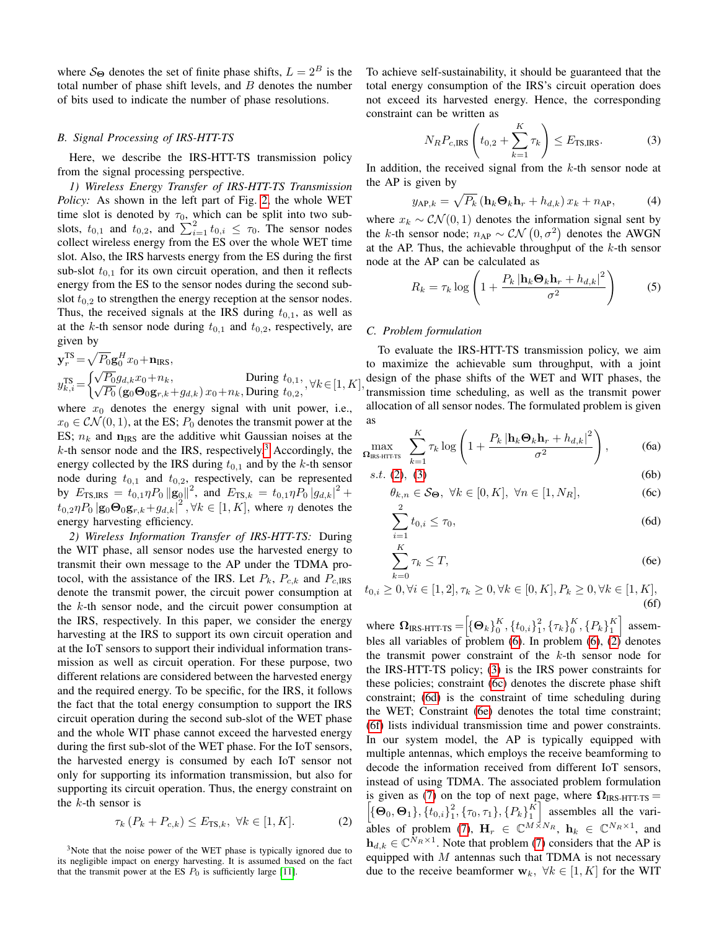where  $S_{\Theta}$  denotes the set of finite phase shifts,  $L = 2^B$  is the total number of phase shift levels, and  $B$  denotes the number of bits used to indicate the number of phase resolutions.

#### *B. Signal Processing of IRS-HTT-TS*

Here, we describe the IRS-HTT-TS transmission policy from the signal processing perspective.

*1) Wireless Energy Transfer of IRS-HTT-TS Transmission Policy:* As shown in the left part of Fig. [2,](#page-3-3) the whole WET time slot is denoted by  $\tau_0$ , which can be split into two subslots,  $t_{0,1}$  and  $t_{0,2}$ , and  $\sum_{i=1}^{2} t_{0,i} \leq \tau_0$ . The sensor nodes collect wireless energy from the ES over the whole WET time slot. Also, the IRS harvests energy from the ES during the first sub-slot  $t_{0,1}$  for its own circuit operation, and then it reflects energy from the ES to the sensor nodes during the second subslot  $t_{0,2}$  to strengthen the energy reception at the sensor nodes. Thus, the received signals at the IRS during  $t_{0,1}$ , as well as at the k-th sensor node during  $t_{0,1}$  and  $t_{0,2}$ , respectively, are given by

$$
\mathbf{y}_{r}^{\text{TS}} = \sqrt{P_{0}} \mathbf{g}_{0}^{H} x_{0} + \mathbf{n}_{\text{IRS}},
$$
\n
$$
y_{k,i}^{\text{TS}} = \begin{cases} \sqrt{P_{0}} g_{d,k} x_{0} + n_{k}, & \text{During } t_{0,1}, \\ \sqrt{P_{0}} \left( \mathbf{g}_{0} \mathbf{\Theta}_{0} \mathbf{g}_{r,k} + g_{d,k} \right) x_{0} + n_{k}, & \text{During } t_{0,2}, \end{cases}, \forall k \in [1, K],
$$

where  $x_0$  denotes the energy signal with unit power, i.e.,  $x_0 \in \mathcal{CN}(0, 1)$ , at the ES;  $P_0$  denotes the transmit power at the ES;  $n_k$  and  $n_{\text{IRS}}$  are the additive whit Gaussian noises at the  $k$ -th sensor node and the IRS, respectively.<sup>[3](#page-4-0)</sup> Accordingly, the energy collected by the IRS during  $t_{0,1}$  and by the k-th sensor node during  $t_{0,1}$  and  $t_{0,2}$ , respectively, can be represented by  $E_{\text{TS,IRS}} = t_{0,1} \eta P_0 ||\mathbf{g}_0||^2$ , and  $E_{\text{TS},k} = t_{0,1} \eta P_0 ||g_{d,k}||^2 +$  $t_{0,2}\eta P_0 |\mathbf{g}_0 \mathbf{\Theta}_0 \mathbf{g}_{r,k} + g_{d,k}|^2$ ,  $\forall k \in [1, K]$ , where  $\eta$  denotes the energy harvesting efficiency.

*2) Wireless Information Transfer of IRS-HTT-TS:* During the WIT phase, all sensor nodes use the harvested energy to transmit their own message to the AP under the TDMA protocol, with the assistance of the IRS. Let  $P_k$ ,  $P_{c,k}$  and  $P_{c,IRS}$ denote the transmit power, the circuit power consumption at the  $k$ -th sensor node, and the circuit power consumption at the IRS, respectively. In this paper, we consider the energy harvesting at the IRS to support its own circuit operation and at the IoT sensors to support their individual information transmission as well as circuit operation. For these purpose, two different relations are considered between the harvested energy and the required energy. To be specific, for the IRS, it follows the fact that the total energy consumption to support the IRS circuit operation during the second sub-slot of the WET phase and the whole WIT phase cannot exceed the harvested energy during the first sub-slot of the WET phase. For the IoT sensors, the harvested energy is consumed by each IoT sensor not only for supporting its information transmission, but also for supporting its circuit operation. Thus, the energy constraint on the  $k$ -th sensor is

$$
\tau_k (P_k + P_{c,k}) \le E_{\text{TS},k}, \ \forall k \in [1, K]. \tag{2}
$$

<span id="page-4-0"></span><sup>3</sup>Note that the noise power of the WET phase is typically ignored due to its negligible impact on energy harvesting. It is assumed based on the fact that the transmit power at the ES  $P_0$  is sufficiently large [\[11\]](#page-14-8).

To achieve self-sustainability, it should be guaranteed that the total energy consumption of the IRS's circuit operation does not exceed its harvested energy. Hence, the corresponding constraint can be written as

<span id="page-4-2"></span>
$$
N_R P_{c,\text{IRS}}\left(t_{0,2} + \sum_{k=1}^{K} \tau_k\right) \le E_{\text{TS,IRS}}.\tag{3}
$$

In addition, the received signal from the  $k$ -th sensor node at the AP is given by

$$
y_{AP,k} = \sqrt{P_k} \left( \mathbf{h}_k \mathbf{\Theta}_k \mathbf{h}_r + h_{d,k} \right) x_k + n_{AP}, \tag{4}
$$

where  $x_k \sim \mathcal{CN}(0, 1)$  denotes the information signal sent by the k-th sensor node;  $n_{AP} \sim \mathcal{CN}(0, \sigma^2)$  denotes the AWGN at the AP. Thus, the achievable throughput of the  $k$ -th sensor node at the AP can be calculated as

<span id="page-4-9"></span>
$$
R_k = \tau_k \log \left( 1 + \frac{P_k \left| \mathbf{h}_k \mathbf{\Theta}_k \mathbf{h}_r + h_{d,k} \right|^2}{\sigma^2} \right) \tag{5}
$$

### *C. Problem formulation*

To evaluate the IRS-HTT-TS transmission policy, we aim to maximize the achievable sum throughput, with a joint design of the phase shifts of the WET and WIT phases, the transmission time scheduling, as well as the transmit power allocation of all sensor nodes. The formulated problem is given as

<span id="page-4-3"></span>
$$
\max_{\mathbf{\Omega}_{\text{IRS-HT T-TS}}} \sum_{k=1}^{K} \tau_k \log \left( 1 + \frac{P_k \left| \mathbf{h}_k \mathbf{\Theta}_k \mathbf{h}_r + h_{d,k} \right|^2}{\sigma^2} \right), \tag{6a}
$$

$$
s.t. (2), (3) \t\t (6b)
$$

<span id="page-4-8"></span>
$$
\theta_{k,n} \in \mathcal{S}_{\Theta}, \ \forall k \in [0, K], \ \forall n \in [1, N_R], \tag{6c}
$$

<span id="page-4-5"></span><span id="page-4-4"></span>
$$
\sum_{i=1}^{n} t_{0,i} \le \tau_0,\tag{6d}
$$

<span id="page-4-7"></span><span id="page-4-6"></span>
$$
\sum_{k=0}^{K} \tau_k \le T,\tag{6e}
$$

$$
t_{0,i} \ge 0, \forall i \in [1,2], \tau_k \ge 0, \forall k \in [0,K], P_k \ge 0, \forall k \in [1,K],
$$
\n(6f)

<span id="page-4-1"></span>where  $\Omega_{\text{IRS-HTT-TS}} = [\{\Theta_k\}_0^K, {\{t_{0,i}\}}_1^2]$  $_{1}^{2}, {\tau_{k}}_{0}^{K}, {\{P_{k}\}}_{1}^{K}$  assem-bles all variables of problem [\(6\)](#page-4-3). In problem (6),  $(2)$  denotes the transmit power constraint of the  $k$ -th sensor node for the IRS-HTT-TS policy; [\(3\)](#page-4-2) is the IRS power constraints for these policies; constraint [\(6c\)](#page-4-4) denotes the discrete phase shift constraint; [\(6d\)](#page-4-5) is the constraint of time scheduling during the WET; Constraint [\(6e\)](#page-4-6) denotes the total time constraint; [\(6f\)](#page-4-7) lists individual transmission time and power constraints. In our system model, the AP is typically equipped with multiple antennas, which employs the receive beamforming to decode the information received from different IoT sensors, instead of using TDMA. The associated problem formulation  $\left[\{\bm{\Theta}_0, \bm{\Theta}_1\}, \{t_{0,i}\}\right]_1^2$ is given as [\(7\)](#page-5-1) on the top of next page, where  $\Omega_{\text{IRS-HTT-TS}} =$  $\left[\frac{2}{1}, \{\tau_0, \tau_1\}, \{P_k\}\right]$  assembles all the vari-ables of problem [\(7\)](#page-5-1),  $\mathbf{H}_r \in \mathbb{C}^{M \times N_R}$ ,  $\mathbf{h}_k \in \mathbb{C}^{N_R \times 1}$ , and  $\mathbf{h}_{d,k} \in \mathbb{C}^{\bar{N}_R \times 1}$ . Note that problem [\(7\)](#page-5-1) considers that the AP is equipped with  $M$  antennas such that TDMA is not necessary due to the receive beamformer  $w_k$ ,  $\forall k \in [1, K]$  for the WIT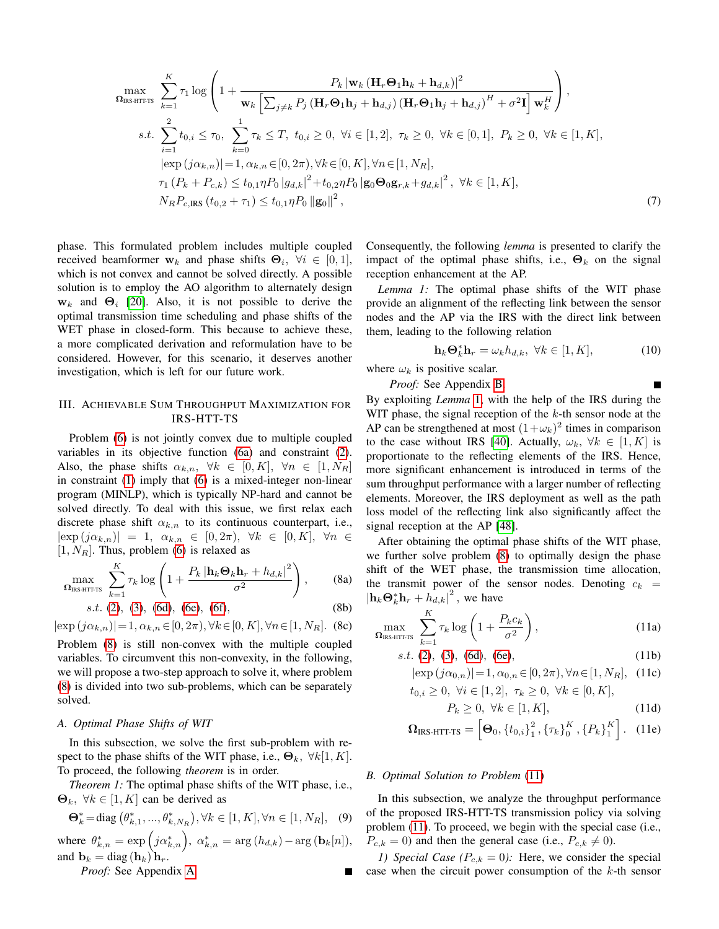$$
\max_{\mathbf{\Omega}_{\text{IRS}}}\sum_{k=1}^{K}\tau_{1}\log\left(1+\frac{P_{k}|\mathbf{w}_{k}\left(\mathbf{H}_{r}\mathbf{\Theta}_{1}\mathbf{h}_{k}+\mathbf{h}_{d,k}\right)|^{2}}{\mathbf{w}_{k}\left[\sum_{j\neq k}P_{j}\left(\mathbf{H}_{r}\mathbf{\Theta}_{1}\mathbf{h}_{j}+\mathbf{h}_{d,j}\right)\left(\mathbf{H}_{r}\mathbf{\Theta}_{1}\mathbf{h}_{j}+\mathbf{h}_{d,j}\right)^{H}+\sigma^{2}\mathbf{I}\right]\mathbf{w}_{k}^{H}}\right),
$$
  
s.t. 
$$
\sum_{i=1}^{2}t_{0,i}\leq\tau_{0},\ \sum_{k=0}^{1}\tau_{k}\leq T,\ t_{0,i}\geq 0,\ \forall i\in[1,2],\ \tau_{k}\geq 0,\ \forall k\in[0,1],\ P_{k}\geq 0,\ \forall k\in[1,K],
$$

$$
|\exp(j\alpha_{k,n})|=1,\alpha_{k,n}\in[0,2\pi),\forall k\in[0,K],\forall n\in[1,N_{R}],
$$

$$
\tau_{1}\left(P_{k}+P_{c,k}\right)\leq t_{0,1}\eta P_{0}\left|g_{d,k}\right|^{2}+t_{0,2}\eta P_{0}\left|\mathbf{g}_{0}\mathbf{\Theta}_{0}\mathbf{g}_{r,k}+g_{d,k}\right|^{2},\ \forall k\in[1,K],
$$

$$
N_{R}P_{c,\text{IRS}}\left(t_{0,2}+\tau_{1}\right)\leq t_{0,1}\eta P_{0}\left|\mathbf{g}_{0}\right|^{2}, \tag{7}
$$

phase. This formulated problem includes multiple coupled received beamformer  $w_k$  and phase shifts  $\Theta_i$ ,  $\forall i \in [0,1]$ , which is not convex and cannot be solved directly. A possible solution is to employ the AO algorithm to alternately design  $w_k$  and  $\Theta_i$  [\[20\]](#page-14-16). Also, it is not possible to derive the optimal transmission time scheduling and phase shifts of the WET phase in closed-form. This because to achieve these, a more complicated derivation and reformulation have to be considered. However, for this scenario, it deserves another investigation, which is left for our future work.

# <span id="page-5-0"></span>III. ACHIEVABLE SUM THROUGHPUT MAXIMIZATION FOR IRS-HTT-TS

Problem [\(6\)](#page-4-3) is not jointly convex due to multiple coupled variables in its objective function [\(6a\)](#page-4-8) and constraint [\(2\)](#page-4-1). Also, the phase shifts  $\alpha_{k,n}$ ,  $\forall k \in [0, K]$ ,  $\forall n \in [1, N_R]$ in constraint [\(1\)](#page-3-4) imply that [\(6\)](#page-4-3) is a mixed-integer non-linear program (MINLP), which is typically NP-hard and cannot be solved directly. To deal with this issue, we first relax each discrete phase shift  $\alpha_{k,n}$  to its continuous counterpart, i.e.,  $|\exp(j\alpha_{k,n})| = 1, \alpha_{k,n} \in [0,2\pi), \forall k \in [0,K], \forall n \in$  $[1, N_R]$ . Thus, problem [\(6\)](#page-4-3) is relaxed as

$$
\max_{\mathbf{\Omega}_{\text{IRS-HTITS}}} \sum_{k=1}^{K} \tau_k \log \left( 1 + \frac{P_k \left| \mathbf{h}_k \mathbf{\Theta}_k \mathbf{h}_r + h_{d,k} \right|^2}{\sigma^2} \right), \quad (8a)
$$

$$
s.t. (2), (3), (6d), (6e), (6f), \tag{8b}
$$

 $|\exp(j\alpha_{k,n})|=1, \alpha_{k,n}\in [0, 2\pi), \forall k\in [0, K], \forall n\in [1, N_R].$  (8c)

Problem [\(8\)](#page-5-2) is still non-convex with the multiple coupled variables. To circumvent this non-convexity, in the following, we will propose a two-step approach to solve it, where problem [\(8\)](#page-5-2) is divided into two sub-problems, which can be separately solved.

## <span id="page-5-10"></span>*A. Optimal Phase Shifts of WIT*

In this subsection, we solve the first sub-problem with respect to the phase shifts of the WIT phase, i.e.,  $\Theta_k$ ,  $\forall k[1, K]$ . To proceed, the following *theorem* is in order.

*Theorem 1:* The optimal phase shifts of the WIT phase, i.e.,  $\mathbf{\Theta}_k, \ \forall k \in [1, K]$  can be derived as

$$
\mathbf{\Theta}_{k}^{*} = \text{diag}(\theta_{k,1}^{*}, ..., \theta_{k,N_{R}}^{*}), \forall k \in [1, K], \forall n \in [1, N_{R}], \quad (9)
$$

where  $\theta_{k,n}^* = \exp\left(j\alpha_{k,n}^*\right)$ ,  $\alpha_{k,n}^* = \arg(h_{d,k}) - \arg(\mathbf{b}_k[n]),$ and  $\mathbf{b}_k = \text{diag}(\mathbf{h}_k) \mathbf{h}_r$ .

*Proof:* See Appendix [A.](#page-12-1)

Consequently, the following *lemma* is presented to clarify the impact of the optimal phase shifts, i.e.,  $\Theta_k$  on the signal reception enhancement at the AP.

*Lemma 1:* The optimal phase shifts of the WIT phase provide an alignment of the reflecting link between the sensor nodes and the AP via the IRS with the direct link between them, leading to the following relation

<span id="page-5-3"></span>
$$
\mathbf{h}_k \mathbf{\Theta}_k^* \mathbf{h}_r = \omega_k h_{d,k}, \ \forall k \in [1, K], \tag{10}
$$

<span id="page-5-1"></span>Ē

where  $\omega_k$  is positive scalar.

*Proof:* See Appendix [B.](#page-13-0)

By exploiting *Lemma* [1,](#page-5-3) with the help of the IRS during the WIT phase, the signal reception of the  $k$ -th sensor node at the AP can be strengthened at most  $(1+\omega_k)^2$  times in comparison to the case without IRS [\[40\]](#page-15-15). Actually,  $\omega_k$ ,  $\forall k \in [1, K]$  is proportionate to the reflecting elements of the IRS. Hence, more significant enhancement is introduced in terms of the sum throughput performance with a larger number of reflecting elements. Moreover, the IRS deployment as well as the path loss model of the reflecting link also significantly affect the signal reception at the AP [\[48\]](#page-15-22).

<span id="page-5-2"></span>After obtaining the optimal phase shifts of the WIT phase, we further solve problem [\(8\)](#page-5-2) to optimally design the phase shift of the WET phase, the transmission time allocation, the transmit power of the sensor nodes. Denoting  $c_k$  =  $|\mathbf{h}_k \Theta_k^* \mathbf{h}_r + \hat{h}_{d,k}|^2$ , we have

$$
\max_{\Omega_{\text{IRS-HTITS}}} \sum_{k=1}^{K} \tau_k \log \left( 1 + \frac{P_k c_k}{\sigma^2} \right),\tag{11a}
$$

$$
s.t. (2), (3), (6d), (6e), \tag{11b}
$$

<span id="page-5-4"></span>
$$
|\exp(j\alpha_{0,n})|=1, \alpha_{0,n}\in[0,2\pi), \forall n\in[1,N_R],
$$
 (11c)

$$
t_{0,i} \ge 0, \ \forall i \in [1,2], \ \tau_k \ge 0, \ \forall k \in [0,K],
$$

<span id="page-5-7"></span><span id="page-5-6"></span><span id="page-5-5"></span>
$$
P_k \ge 0, \ \forall k \in [1, K], \tag{11d}
$$

$$
\mathbf{\Omega}_{\text{IRS-HTFTS}} = \left[ \mathbf{\Theta}_{0}, \left\{ t_{0,i} \right\}_{1}^{2}, \left\{ \tau_{k} \right\}_{0}^{K}, \left\{ P_{k} \right\}_{1}^{K} \right]. \quad (11e)
$$

#### <span id="page-5-11"></span><span id="page-5-8"></span>*B. Optimal Solution to Problem* [\(11\)](#page-5-4)

In this subsection, we analyze the throughput performance of the proposed IRS-HTT-TS transmission policy via solving problem [\(11\)](#page-5-4). To proceed, we begin with the special case (i.e.,  $P_{c,k} = 0$ ) and then the general case (i.e.,  $P_{c,k} \neq 0$ ).

<span id="page-5-9"></span>*1) Special Case* ( $P_{c,k} = 0$ ): Here, we consider the special case when the circuit power consumption of the  $k$ -th sensor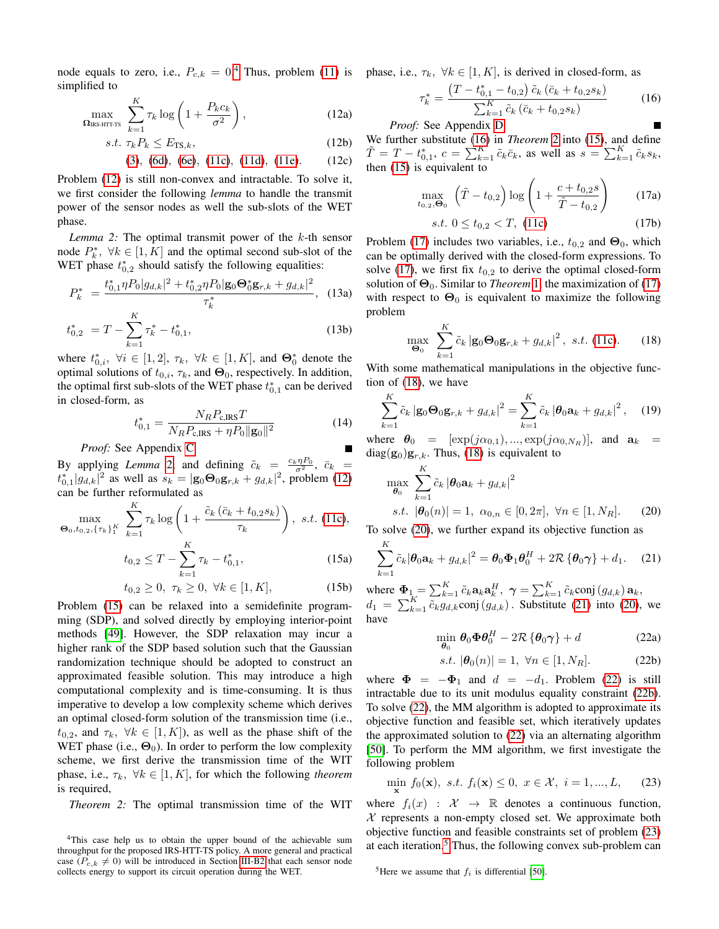node equals to zero, i.e.,  $P_{c,k} = 0.4$  $P_{c,k} = 0.4$  Thus, problem [\(11\)](#page-5-4) is phase, i.e.,  $\tau_k$ ,  $\forall k \in [1, K]$ , is derived in closed-form, as simplified to

<span id="page-6-1"></span>
$$
\max_{\Omega_{\text{IRS-HTTS}}} \sum_{k=1}^{K} \tau_k \log \left( 1 + \frac{P_k c_k}{\sigma^2} \right), \tag{12a}
$$

$$
s.t. \ \tau_k P_k \le E_{\text{TS},k},\tag{12b}
$$

$$
(3), (6d), (6e), (11c), (11d), (11e). (12c)
$$

Problem [\(12\)](#page-6-1) is still non-convex and intractable. To solve it, we first consider the following *lemma* to handle the transmit power of the sensor nodes as well the sub-slots of the WET phase.

<span id="page-6-2"></span>*Lemma 2:* The optimal transmit power of the k-th sensor node  $P_k^*$ ,  $\forall k \in [1, K]$  and the optimal second sub-slot of the WET phase  $t_{0,2}^*$  should satisfy the following equalities:

$$
P_k^* = \frac{t_{0,1}^* \eta P_0 |g_{d,k}|^2 + t_{0,2}^* \eta P_0 |g_0 \Theta_0^* g_{r,k} + g_{d,k}|^2}{\tau_k^*}, \quad (13a)
$$

$$
t_{0,2}^* = T - \sum_{k=1}^K \tau_k^* - t_{0,1}^*,\tag{13b}
$$

where  $t_{0,i}^*$ ,  $\forall i \in [1,2], \tau_k$ ,  $\forall k \in [1, K]$ , and  $\Theta_0^*$  denote the optimal solutions of  $t_{0,i}$ ,  $\tau_k$ , and  $\Theta_0$ , respectively. In addition, the optimal first sub-slots of the WET phase  $t_{0,1}^*$  can be derived in closed-form, as

$$
t_{0,1}^* = \frac{N_R P_{\rm c,IRS} T}{N_R P_{\rm c,IRS} + \eta P_0 ||\mathbf{g}_0||^2}
$$
(14)

*Proof:* See Appendix [C.](#page-13-1)

By applying *Lemma* [2,](#page-6-2) and defining  $\tilde{c}_k = \frac{c_k \eta P_0}{\sigma^2}$ ,  $\bar{c}_k =$  $t_{0,1}^* |g_{d,k}|^2$  as well as  $s_k = |\mathbf{g}_0 \mathbf{\Theta}_0 \mathbf{g}_{r,k} + g_{d,k}|^2$ , problem [\(12\)](#page-6-1) can be further reformulated as

$$
\max_{\Theta_0, t_0, 2, \{\tau_k\}_1^K} \sum_{k=1}^K \tau_k \log \left( 1 + \frac{\tilde{c}_k \left( \bar{c}_k + t_{0,2} s_k \right)}{\tau_k} \right), \text{ s.t. (11c)},
$$

$$
t_{0,2} \le T - \sum_{k=1}^K \tau_k - t_{0,1}^*, \tag{15a}
$$

<span id="page-6-3"></span> $k=1$ 

$$
t_{0,2} \ge 0, \ \tau_k \ge 0, \ \forall k \in [1, K], \tag{15b}
$$

Problem [\(15\)](#page-6-3) can be relaxed into a semidefinite programming (SDP), and solved directly by employing interior-point methods [\[49\]](#page-15-23). However, the SDP relaxation may incur a higher rank of the SDP based solution such that the Gaussian randomization technique should be adopted to construct an approximated feasible solution. This may introduce a high computational complexity and is time-consuming. It is thus imperative to develop a low complexity scheme which derives an optimal closed-form solution of the transmission time (i.e.,  $t_{0,2}$ , and  $\tau_k$ ,  $\forall k \in [1, K]$ , as well as the phase shift of the WET phase (i.e.,  $\Theta_0$ ). In order to perform the low complexity scheme, we first derive the transmission time of the WIT phase, i.e.,  $\tau_k$ ,  $\forall k \in [1, K]$ , for which the following *theorem* is required,

<span id="page-6-5"></span>*Theorem 2:* The optimal transmission time of the WIT

<span id="page-6-4"></span>
$$
\tau_k^* = \frac{\left(T - t_{0,1}^* - t_{0,2}\right)\tilde{c}_k\left(\bar{c}_k + t_{0,2}s_k\right)}{\sum_{k=1}^K \tilde{c}_k\left(\bar{c}_k + t_{0,2}s_k\right)}\tag{16}
$$

*Proof:* See Appendix [D.](#page-13-2)

<span id="page-6-17"></span><span id="page-6-16"></span>We further substitute [\(16\)](#page-6-4) in *Theorem* [2](#page-6-5) into [\(15\)](#page-6-3), and define  $\tilde{T} = T - t_{0,1}^*$ ,  $c = \sum_{k=1}^K \tilde{c}_k \bar{c}_k$ , as well as  $s = \sum_{k=1}^K \tilde{c}_k s_k$ , then [\(15\)](#page-6-3) is equivalent to

<span id="page-6-6"></span>
$$
\max_{t_{0,2},\Theta_0} \left( \tilde{T} - t_{0,2} \right) \log \left( 1 + \frac{c + t_{0,2} s}{\tilde{T} - t_{0,2}} \right) \tag{17a}
$$

<span id="page-6-22"></span>
$$
s.t. \ 0 \le t_{0,2} < T, \ (11c) \tag{17b}
$$

<span id="page-6-15"></span>Problem [\(17\)](#page-6-6) includes two variables, i.e.,  $t_{0,2}$  and  $\Theta_0$ , which can be optimally derived with the closed-form expressions. To solve [\(17\)](#page-6-6), we first fix  $t_{0,2}$  to derive the optimal closed-form solution of  $\Theta_0$ . Similar to *Theorem* [1,](#page-5-8) the maximization of [\(17\)](#page-6-6) with respect to  $\Theta_0$  is equivalent to maximize the following problem

<span id="page-6-7"></span>
$$
\max_{\mathbf{\Theta}_0} \sum_{k=1}^K \tilde{c}_k \left| \mathbf{g}_0 \mathbf{\Theta}_0 \mathbf{g}_{r,k} + g_{d,k} \right|^2, \ s.t. \ (11c). \tag{18}
$$

<span id="page-6-18"></span>With some mathematical manipulations in the objective function of [\(18\)](#page-6-7), we have

$$
\sum_{k=1}^{K} \tilde{c}_k \left| \mathbf{g}_0 \mathbf{\Theta}_0 \mathbf{g}_{r,k} + g_{d,k} \right|^2 = \sum_{k=1}^{K} \tilde{c}_k \left| \mathbf{\theta}_0 \mathbf{a}_k + g_{d,k} \right|^2, \quad (19)
$$

<span id="page-6-14"></span>where  $\theta_0 = [\exp(j\alpha_{0,1}), ..., \exp(j\alpha_{0,N_R})]$ , and  $\mathbf{a}_k =$  $diag(g_0)g_{r,k}$ . Thus, [\(18\)](#page-6-7) is equivalent to

$$
\max_{\theta_0} \sum_{k=1}^K \tilde{c}_k |\theta_0 \mathbf{a}_k + g_{d,k}|^2
$$
  
s.t.  $|\theta_0(n)| = 1$ ,  $\alpha_{0,n} \in [0, 2\pi]$ ,  $\forall n \in [1, N_R]$ . (20)

<span id="page-6-19"></span>To solve [\(20\)](#page-6-8), we further expand its objective function as

$$
\sum_{k=1}^{K} \tilde{c}_k |\boldsymbol{\theta}_0 \mathbf{a}_k + g_{d,k}|^2 = \boldsymbol{\theta}_0 \boldsymbol{\Phi}_1 \boldsymbol{\theta}_0^H + 2\mathcal{R} \left\{ \boldsymbol{\theta}_0 \boldsymbol{\gamma} \right\} + d_1. \quad (21)
$$

<span id="page-6-20"></span><span id="page-6-10"></span>where  $\mathbf{\Phi}_1 = \sum_{k=1}^K \tilde{c}_k \mathbf{a}_k \mathbf{a}_k^H$ ,  $\boldsymbol{\gamma} = \sum_{k=1}^K \tilde{c}_k \text{conj}(g_{d,k}) \mathbf{a}_k$ ,  $d_1 = \sum_{k=1}^{K} \overline{\tilde{c}_k g_{d,k}}$ conj $(g_{d,k})$ . Substitute [\(21\)](#page-6-9) into [\(20\)](#page-6-8), we have

<span id="page-6-9"></span><span id="page-6-8"></span>
$$
\min_{\boldsymbol{\theta}_0} \boldsymbol{\theta}_0 \boldsymbol{\Phi} \boldsymbol{\theta}_0^H - 2\mathcal{R} \left\{ \boldsymbol{\theta}_0 \boldsymbol{\gamma} \right\} + d \tag{22a}
$$

<span id="page-6-21"></span><span id="page-6-12"></span><span id="page-6-11"></span>
$$
s.t. |\theta_0(n)| = 1, \ \forall n \in [1, N_R].
$$
 (22b)

where  $\Phi = -\Phi_1$  and  $d = -d_1$ . Problem [\(22\)](#page-6-10) is still intractable due to its unit modulus equality constraint [\(22b\)](#page-6-11). To solve [\(22\)](#page-6-10), the MM algorithm is adopted to approximate its objective function and feasible set, which iteratively updates the approximated solution to [\(22\)](#page-6-10) via an alternating algorithm [\[50\]](#page-15-24). To perform the MM algorithm, we first investigate the following problem

$$
\min_{\mathbf{x}} f_0(\mathbf{x}), \ s.t. \ f_i(\mathbf{x}) \le 0, \ x \in \mathcal{X}, \ i = 1, ..., L,
$$
 (23)

where  $f_i(x)$  :  $\mathcal{X} \rightarrow \mathbb{R}$  denotes a continuous function,  $X$  represents a non-empty closed set. We approximate both objective function and feasible constraints set of problem [\(23\)](#page-6-12) at each iteration.<sup>[5](#page-6-13)</sup> Thus, the following convex sub-problem can

<span id="page-6-13"></span><sup>5</sup>Here we assume that  $f_i$  is differential [\[50\]](#page-15-24).

<span id="page-6-0"></span><sup>4</sup>This case help us to obtain the upper bound of the achievable sum throughput for the proposed IRS-HTT-TS policy. A more general and practical case ( $P_{c,k} \neq 0$ ) will be introduced in Section [III-B2](#page-7-0) that each sensor node collects energy to support its circuit operation during the WET.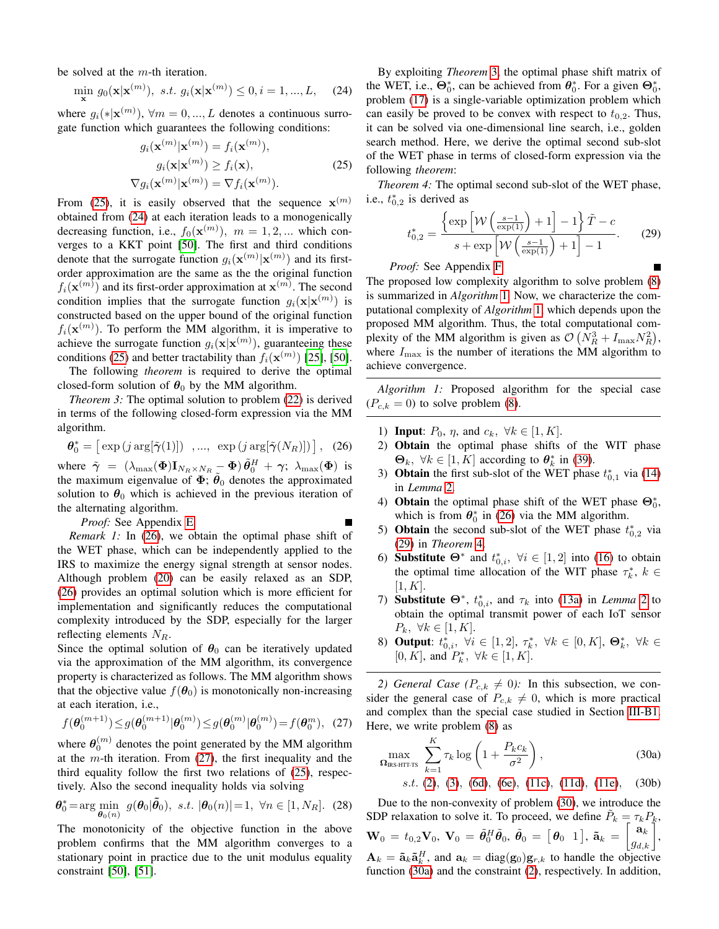be solved at the m-th iteration.

$$
\min_{\mathbf{x}} g_0(\mathbf{x}|\mathbf{x}^{(m)}), \ s.t. \ g_i(\mathbf{x}|\mathbf{x}^{(m)}) \le 0, i = 1, ..., L, \quad (24)
$$

where  $g_i(*|\mathbf{x}^{(m)})$ ,  $\forall m = 0, ..., L$  denotes a continuous surrogate function which guarantees the following conditions:

$$
g_i(\mathbf{x}^{(m)}|\mathbf{x}^{(m)}) = f_i(\mathbf{x}^{(m)}),
$$

$$
g_i(\mathbf{x}|\mathbf{x}^{(m)}) \ge f_i(\mathbf{x}),
$$

$$
\nabla g_i(\mathbf{x}^{(m)}|\mathbf{x}^{(m)}) = \nabla f_i(\mathbf{x}^{(m)}).
$$
(25)

From [\(25\)](#page-7-1), it is easily observed that the sequence  $\mathbf{x}^{(m)}$ obtained from [\(24\)](#page-7-2) at each iteration leads to a monogenically decreasing function, i.e.,  $f_0(\mathbf{x}^{(m)})$ ,  $m = 1, 2, ...$  which converges to a KKT point [\[50\]](#page-15-24). The first and third conditions denote that the surrogate function  $g_i(\mathbf{x}^{(m)}|\mathbf{x}^{(m)})$  and its firstorder approximation are the same as the the original function  $f_i(\mathbf{x}^{(m)})$  and its first-order approximation at  $\mathbf{x}^{(m)}$ . The second condition implies that the surrogate function  $g_i(\mathbf{x}|\mathbf{x}^{(m)})$  is constructed based on the upper bound of the original function  $f_i(\mathbf{x}^{(m)})$ . To perform the MM algorithm, it is imperative to achieve the surrogate function  $g_i(\mathbf{x}|\mathbf{x}^{(m)})$ , guaranteeing these conditions [\(25\)](#page-7-1) and better tractability than  $f_i(\mathbf{x}^{(m)})$  [\[25\]](#page-15-1), [\[50\]](#page-15-24).

The following *theorem* is required to derive the optimal closed-form solution of  $\theta_0$  by the MM algorithm.

*Theorem 3:* The optimal solution to problem [\(22\)](#page-6-10) is derived in terms of the following closed-form expression via the MM algorithm.

$$
\boldsymbol{\theta}_0^* = \left[ \exp\left(j \arg[\tilde{\boldsymbol{\gamma}}(1)]\right) \ , \dots, \ \exp\left(j \arg[\tilde{\boldsymbol{\gamma}}(N_R)]\right) \right], \ (26)
$$

where  $\tilde{\gamma} = (\lambda_{\max}(\Phi) \mathbf{I}_{N_R \times N_R} - \mathbf{\Phi}) \tilde{\theta}_0^H + \gamma; \ \lambda_{\max}(\Phi)$  is the maximum eigenvalue of  $\vec{\Phi}$ ;  $\vec{\theta}_0$  denotes the approximated solution to  $\theta_0$  which is achieved in the previous iteration of the alternating algorithm.

*Proof:* See Appendix [E.](#page-13-3)

*Remark 1:* In [\(26\)](#page-7-3), we obtain the optimal phase shift of the WET phase, which can be independently applied to the IRS to maximize the energy signal strength at sensor nodes. Although problem [\(20\)](#page-6-8) can be easily relaxed as an SDP, [\(26\)](#page-7-3) provides an optimal solution which is more efficient for implementation and significantly reduces the computational complexity introduced by the SDP, especially for the larger reflecting elements  $N_R$ .

Since the optimal solution of  $\theta_0$  can be iteratively updated via the approximation of the MM algorithm, its convergence property is characterized as follows. The MM algorithm shows that the objective value  $f(\theta_0)$  is monotonically non-increasing at each iteration, i.e.,

$$
f(\boldsymbol{\theta}_0^{(m+1)}) \leq g(\boldsymbol{\theta}_0^{(m+1)} | \boldsymbol{\theta}_0^{(m)}) \leq g(\boldsymbol{\theta}_0^{(m)} | \boldsymbol{\theta}_0^{(m)}) = f(\boldsymbol{\theta}_0^m), (27)
$$

where  $\theta_0^{(m)}$  denotes the point generated by the MM algorithm at the m-th iteration. From  $(27)$ , the first inequality and the third equality follow the first two relations of [\(25\)](#page-7-1), respectively. Also the second inequality holds via solving

$$
\boldsymbol{\theta}_0^* = \arg\min_{\boldsymbol{\theta}_0(n)} g(\boldsymbol{\theta}_0|\tilde{\boldsymbol{\theta}}_0), \ s.t. \ |\boldsymbol{\theta}_0(n)| = 1, \ \forall n \in [1, N_R]. \tag{28}
$$

The monotonicity of the objective function in the above problem confirms that the MM algorithm converges to a stationary point in practice due to the unit modulus equality constraint [\[50\]](#page-15-24), [\[51\]](#page-15-25).

<span id="page-7-2"></span>By exploiting *Theorem* [3,](#page-7-5) the optimal phase shift matrix of the WET, i.e.,  $\Theta_0^*$ , can be achieved from  $\theta_0^*$ . For a given  $\Theta_0^*$ , problem [\(17\)](#page-6-6) is a single-variable optimization problem which can easily be proved to be convex with respect to  $t_{0,2}$ . Thus, it can be solved via one-dimensional line search, i.e., golden search method. Here, we derive the optimal second sub-slot of the WET phase in terms of closed-form expression via the following *theorem*:

<span id="page-7-1"></span>*Theorem 4:* The optimal second sub-slot of the WET phase, i.e.,  $t_{0,2}^*$  is derived as

<span id="page-7-8"></span><span id="page-7-7"></span>
$$
t_{0,2}^{*} = \frac{\left\{ \exp\left[\mathcal{W}\left(\frac{s-1}{\exp(1)}\right) + 1\right] - 1\right\}\tilde{T} - c}{s + \exp\left[\mathcal{W}\left(\frac{s-1}{\exp(1)}\right) + 1\right] - 1}.
$$
 (29)

*Proof:* See Appendix [F.](#page-14-21)

The proposed low complexity algorithm to solve problem [\(8\)](#page-5-2) is summarized in *Algorithm* [1.](#page-7-6) Now, we characterize the computational complexity of *Algorithm* [1,](#page-7-6) which depends upon the proposed MM algorithm. Thus, the total computational complexity of the MM algorithm is given as  $\mathcal{O}\left(N_R^3 + I_{\text{max}}N_R^2\right)$ , where  $I_{\text{max}}$  is the number of iterations the MM algorithm to achieve convergence.

<span id="page-7-6"></span><span id="page-7-5"></span>*Algorithm 1:* Proposed algorithm for the special case  $(P_{c,k} = 0)$  to solve problem [\(8\)](#page-5-2).

- <span id="page-7-3"></span>1) **Input**:  $P_0$ ,  $\eta$ , and  $c_k$ ,  $\forall k \in [1, K]$ .
- Obtain the optimal phase shifts of the WIT phase  $\mathbf{\Theta}_k, \ \forall k \in [1, K]$  according to  $\theta_k^*$  in [\(39\)](#page-12-2).
- 3) **Obtain** the first sub-slot of the WET phase  $t_{0,1}^*$  via [\(14\)](#page-6-14) in *Lemma* [2.](#page-6-2)
- 4) **Obtain** the optimal phase shift of the WET phase  $\Theta_0^*$ , which is from  $\theta_0^*$  in [\(26\)](#page-7-3) via the MM algorithm.
- 5) **Obtain** the second sub-slot of the WET phase  $t_{0,2}^*$  via [\(29\)](#page-7-7) in *Theorem* [4.](#page-7-8)
- 6) Substitute  $\Theta^*$  and  $t_{0,i}^*$ ,  $\forall i \in [1,2]$  into [\(16\)](#page-6-4) to obtain the optimal time allocation of the WIT phase  $\tau_k^*$ ,  $k \in$  $[1, K]$ .
- 7) **Substitute**  $\Theta^*$ ,  $t_{0,i}^*$ , and  $\tau_k$  into [\(13a\)](#page-6-15) in *Lemma* [2](#page-6-2) to obtain the optimal transmit power of each IoT sensor  $P_k, \forall k \in [1, K].$
- 8) **Output**:  $t_{0,i}^*$ ,  $\forall i \in [1,2], \tau_k^*$ ,  $\forall k \in [0,K], \Theta_k^*$ ,  $\forall k \in$ [0, K], and  $P_k^*$ ,  $\forall k \in [1, K]$ .

<span id="page-7-4"></span><span id="page-7-0"></span>*2) General Case* ( $P_{c,k} \neq 0$ ): In this subsection, we consider the general case of  $P_{c,k} \neq 0$ , which is more practical and complex than the special case studied in Section [III-B1.](#page-5-9) Here, we write problem [\(8\)](#page-5-2) as

$$
\max_{\Omega_{\text{IRS-HTTTS}}} \sum_{k=1}^{K} \tau_k \log \left( 1 + \frac{P_k c_k}{\sigma^2} \right),\tag{30a}
$$

<span id="page-7-10"></span><span id="page-7-9"></span>
$$
s.t. (2), (3), (6d), (6e), (11c), (11d), (11e), (30b)
$$

Due to the non-convexity of problem [\(30\)](#page-7-9), we introduce the SDP relaxation to solve it. To proceed, we define  $\tilde{P}_k = \tau_k P_k$ ,  ${\bf W}_0\,=\,t_{0,2}{\bf V}_0,\ {\bf V}_0\,=\,\tilde{\bm\theta}_0^H\tilde{\bm\theta}_0,\ \tilde{\bm\theta}_0\,=\,\big[\,\bm\theta_0\;\;1\,\big],\ \tilde{\bf a}_k\,=\,$  $\begin{bmatrix} \mathbf{a}_k \ g_{d,k} \end{bmatrix}$  $\mathbf{A}_k = \tilde{\mathbf{a}}_k \tilde{\mathbf{a}}_k^H$ , and  $\mathbf{a}_k = \text{diag}(\mathbf{g}_0) \mathbf{g}_{r,k}$  to handle the objective function [\(30a\)](#page-7-10) and the constraint [\(2\)](#page-4-1), respectively. In addition,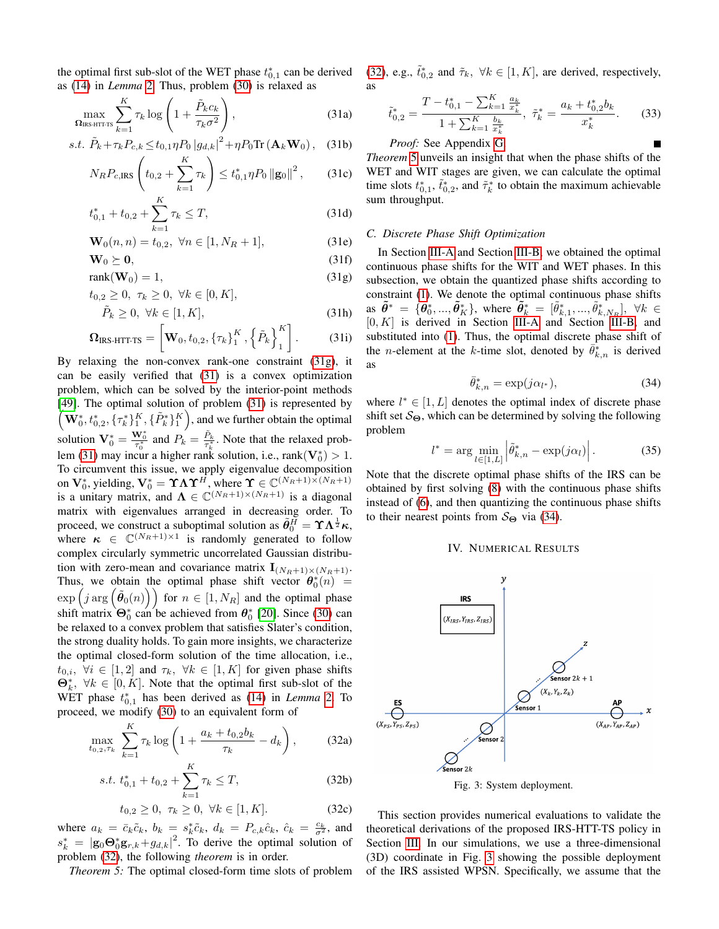as [\(14\)](#page-6-14) in *Lemma* [2.](#page-6-2) Thus, problem [\(30\)](#page-7-9) is relaxed as

$$
\max_{\Omega_{\text{IRS HTT-TS}}} \sum_{k=1}^{K} \tau_k \log \left( 1 + \frac{\tilde{P}_k c_k}{\tau_k \sigma^2} \right),\tag{31a}
$$

s.t. 
$$
\tilde{P}_k + \tau_k P_{c,k} \le t_{0,1} \eta P_0 |g_{d,k}|^2 + \eta P_0 \text{Tr}(\mathbf{A}_k \mathbf{W}_0),
$$
 (31b)

$$
N_R P_{c,\text{IRS}}\left(t_{0,2} + \sum_{k=1}^{K} \tau_k\right) \le t_{0,1}^* \eta P_0 \left\|\mathbf{g}_0\right\|^2, \qquad (31c)
$$

$$
t_{0,1}^* + t_{0,2} + \sum_{k=1}^K \tau_k \le T,\tag{31d}
$$

$$
\mathbf{W}_0(n,n) = t_{0,2}, \ \forall n \in [1, N_R + 1], \tag{31e}
$$

$$
\mathbf{W}_0 \succeq \mathbf{0},\tag{31f}
$$

$$
rank(\mathbf{W}_0) = 1,\t(31g)
$$

$$
t_{0,2} \ge 0, \ \tau_k \ge 0, \ \forall k \in [0, K], \tilde{P}_k \ge 0, \ \forall k \in [1, K],
$$
\n(31h)

$$
\mathbf{\Omega}_{\text{IRS-HTT-TS}} = \left[ \mathbf{W}_0, t_{0,2}, \left\{ \tau_k \right\}_{1}^{K}, \left\{ \tilde{P}_k \right\}_{1}^{K} \right]. \tag{31i}
$$

By relaxing the non-convex rank-one constraint [\(31g\)](#page-8-1), it can be easily verified that [\(31\)](#page-8-2) is a convex optimization problem, which can be solved by the interior-point methods [\[49\]](#page-15-23). The optimal solution of problem [\(31\)](#page-8-2) is represented by  $\mathbf{W}_0^*, t_{0,2}^*, \{\tau_k^*\}_1^K, \{\tilde{P}_k^*\}_1^K$ , and we further obtain the optimal solution  $\mathbf{V}_0^* = \frac{\mathbf{W}_0^*}{\tau_0^*}$  and  $P_k = \frac{\tilde{P}_k}{\tau_k^*}$ . Note that the relaxed prob-lem [\(31\)](#page-8-2) may incur a higher rank solution, i.e.,  $rank(\mathbf{V}_0^*) > 1$ . To circumvent this issue, we apply eigenvalue decomposition on  $\mathbf{V}_0^*$ , yielding,  $\mathbf{V}_0^* = \mathbf{\Upsilon} \mathbf{\Lambda} \mathbf{\Upsilon}^H$ , where  $\mathbf{\Upsilon} \in \mathbb{C}^{(N_R+1)\times(N_R+1)}$ is a unitary matrix, and  $\Lambda \in \mathbb{C}^{(N_R+1) \times (N_R+1)}$  is a diagonal matrix with eigenvalues arranged in decreasing order. To proceed, we construct a suboptimal solution as  $\tilde{\theta}_0^H = \Upsilon \Lambda^{\frac{1}{2}} \kappa$ , where  $\kappa \in \mathbb{C}^{(N_R+1)\times 1}$  is randomly generated to follow complex circularly symmetric uncorrelated Gaussian distribution with zero-mean and covariance matrix  $\mathbf{I}_{(N_R+1)\times(N_R+1)}$ . Thus, we obtain the optimal phase shift vector  $\theta_0^*(n) =$  $\exp\left(j \arg\left(\tilde{\theta}_0(n)\right)\right)$  for  $n \in [1, N_R]$  and the optimal phase shift matrix  $\Theta_0^*$  can be achieved from  $\theta_0^*$  [\[20\]](#page-14-16). Since [\(30\)](#page-7-9) can be relaxed to a convex problem that satisfies Slater's condition, the strong duality holds. To gain more insights, we characterize the optimal closed-form solution of the time allocation, i.e.,  $t_{0,i}$ ,  $\forall i \in [1,2]$  and  $\tau_k$ ,  $\forall k \in [1, K]$  for given phase shifts  $\mathbf{\Theta}_k^*$ ,  $\forall k \in [0, K]$ . Note that the optimal first sub-slot of the WET phase  $t_{0,1}^*$  has been derived as [\(14\)](#page-6-14) in *Lemma* [2.](#page-6-2) To proceed, we modify [\(30\)](#page-7-9) to an equivalent form of

$$
\max_{t_{0,2},\tau_k} \sum_{k=1}^K \tau_k \log \left( 1 + \frac{a_k + t_{0,2}b_k}{\tau_k} - d_k \right), \tag{32a}
$$

$$
s.t. t_{0,1}^* + t_{0,2} + \sum_{k=1}^K \tau_k \le T,
$$
\n(32b)

$$
t_{0,2} \ge 0, \ \tau_k \ge 0, \ \forall k \in [1, K]. \tag{32c}
$$

where  $a_k = \bar{c}_k \tilde{c}_k$ ,  $b_k = s_k^* \tilde{c}_k$ ,  $d_k = P_{c,k} \hat{c}_k$ ,  $\hat{c}_k = \frac{c_k}{\sigma^2}$ , and  $s_k^* = |\mathbf{g}_0 \Theta_0^* \mathbf{g}_{r,k} + g_{d,k}|^2$ . To derive the optimal solution of problem [\(32\)](#page-8-3), the following *theorem* is in order.

*Theorem 5:* The optimal closed-form time slots of problem

the optimal first sub-slot of the WET phase  $t_{0,1}^*$  can be derived [\(32\)](#page-8-3), e.g.,  $\tilde{t}_{0,2}^*$  and  $\tilde{\tau}_k$ ,  $\forall k \in [1, K]$ , are derived, respectively, as

<span id="page-8-8"></span><span id="page-8-2"></span>
$$
\tilde{t}_{0,2}^* = \frac{T - t_{0,1}^* - \sum_{k=1}^K \frac{a_k}{x_k^*}}{1 + \sum_{k=1}^K \frac{b_k}{x_k^*}}, \ \tilde{\tau}_k^* = \frac{a_k + t_{0,2}^* b_k}{x_k^*}.
$$
 (33)

*Proof:* See Appendix [G.](#page-14-22)

*Theorem* [5](#page-8-4) unveils an insight that when the phase shifts of the WET and WIT stages are given, we can calculate the optimal time slots  $t_{0,1}^*$ ,  $\tilde{t}_{0,2}^*$ , and  $\tilde{\tau}_k^*$  to obtain the maximum achievable sum throughput.

## *C. Discrete Phase Shift Optimization*

<span id="page-8-1"></span>In Section [III-A](#page-5-10) and Section [III-B,](#page-5-11) we obtained the optimal continuous phase shifts for the WIT and WET phases. In this subsection, we obtain the quantized phase shifts according to constraint [\(1\)](#page-3-4). We denote the optimal continuous phase shifts as  $\tilde{\theta}^* = {\{\tilde{\theta}_0^*, ..., \tilde{\theta}_K^*\}}$ , where  $\tilde{\theta}_k^* = [\tilde{\theta}_{k,1}^*, ..., \tilde{\theta}_{k,N_R}^*]$ ,  $\forall k \in$  $[0, K]$  is derived in Section [III-A](#page-5-10) and Section [III-B,](#page-5-11) and substituted into [\(1\)](#page-3-4). Thus, the optimal discrete phase shift of the *n*-element at the *k*-time slot, denoted by  $\bar{\theta}_{k,n}^*$  is derived as

<span id="page-8-5"></span>
$$
\bar{\theta}_{k,n}^* = \exp(j\alpha_{l^*}),\tag{34}
$$

where  $l^* \in [1, L]$  denotes the optimal index of discrete phase shift set  $S_{\Theta}$ , which can be determined by solving the following problem

$$
l^* = \arg\min_{l \in [1,L]} \left| \tilde{\theta}_{k,n}^* - \exp(j\alpha_l) \right|.
$$
 (35)

Note that the discrete optimal phase shifts of the IRS can be obtained by first solving [\(8\)](#page-5-2) with the continuous phase shifts instead of [\(6\)](#page-4-3), and then quantizing the continuous phase shifts to their nearest points from  $S_{\Theta}$  via [\(34\)](#page-8-5).

# IV. NUMERICAL RESULTS

<span id="page-8-6"></span><span id="page-8-0"></span>

Fig. 3: System deployment.

<span id="page-8-7"></span><span id="page-8-4"></span><span id="page-8-3"></span>This section provides numerical evaluations to validate the theoretical derivations of the proposed IRS-HTT-TS policy in Section [III.](#page-5-0) In our simulations, we use a three-dimensional (3D) coordinate in Fig. [3](#page-8-6) showing the possible deployment of the IRS assisted WPSN. Specifically, we assume that the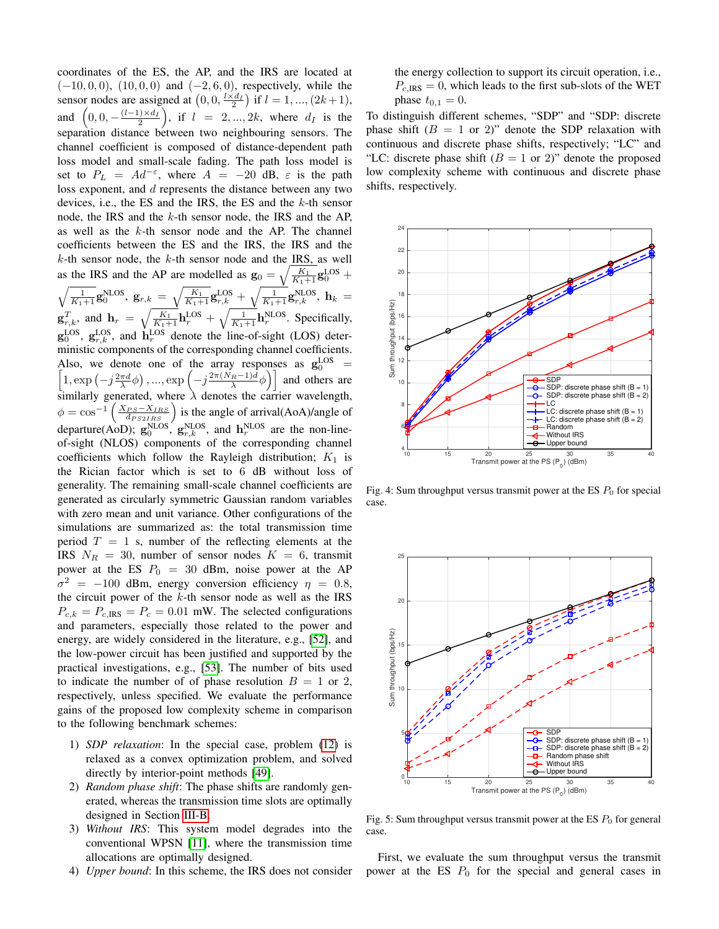coordinates of the ES, the AP, and the IRS are located at  $(-10, 0, 0)$ ,  $(10, 0, 0)$  and  $(-2, 6, 0)$ , respectively, while the sensor nodes are assigned at  $(0, 0, \frac{l \times d_I}{2})$  if  $l = 1, ..., (2k + 1)$ , and  $(0, 0, -\frac{(l-1)\times d_I}{2})$ , if  $l = 2, ..., 2k$ , where  $d_I$  is the separation distance between two neighbouring sensors. The channel coefficient is composed of distance-dependent path loss model and small-scale fading. The path loss model is set to  $P_L = Ad^{-\epsilon}$ , where  $A = -20$  dB,  $\epsilon$  is the path loss exponent, and d represents the distance between any two devices, i.e., the ES and the IRS, the ES and the k-th sensor node, the IRS and the k-th sensor node, the IRS and the AP, as well as the k-th sensor node and the AP. The channel coefficients between the ES and the IRS, the IRS and the  $k$ -th sensor node, the  $k$ -th sensor node and the IRS, as well as the IRS and the AP are modelled as  $\mathbf{g}_0 = \sqrt{\frac{K_1}{K_1+1}} \mathbf{g}_0^{\text{LOS}} +$  $\sqrt{\frac{1}{K_{1}+1}}\mathbf{g}_{0}^{\textrm{NLOS}},\;\mathbf{g}_{r,k}\;=\;\sqrt{\frac{K_{1}}{K_{1}+1}}\mathbf{g}_{r,k}^{\textrm{LOS}}+\sqrt{\frac{1}{K_{1}+1}}\mathbf{g}_{r,k}^{\textrm{NLOS}},\;\mathbf{h}_{k}\;=\nonumber$  $\mathbf{g}_{r,k}^T$ , and  $\mathbf{h}_r = \sqrt{\frac{K_1}{K_1+1}} \mathbf{h}_r^{\text{LOS}} + \sqrt{\frac{1}{K_1+1}} \mathbf{h}_r^{\text{NLOS}}$ . Specifically,  $\mathbf{g}_0^{\text{LOS}}, \mathbf{g}_{r,k}^{\text{LOS}},$  and  $\mathbf{h}_r^{\text{LOS}}$  denote the line-of-sight (LOS) deterministic components of the corresponding channel coefficients. Also, we denote one of the array responses as  $g_0^{\text{LOS}}$ Also, we denote one of the array responses as  $g_0^{\text{LOS}} = \left[1, \exp\left(-j\frac{2\pi d}{\lambda}\phi\right), ..., \exp\left(-j\frac{2\pi(N_R-1)d}{\lambda}\phi\right)\right]$  and others are similarly generated, where  $\lambda$  denotes the carrier wavelength,  $\phi = \cos^{-1}\left(\frac{X_{PS} - X_{IRS}}{d_{PS2IRS}}\right)$  is the angle of arrival(AoA)/angle of departure(AoD);  $\mathbf{g}_0^{\text{NLOS}}, \mathbf{g}_{r,k}^{\text{NLOS}},$  and  $\mathbf{h}_r^{\text{NLOS}}$  are the non-lineof-sight (NLOS) components of the corresponding channel coefficients which follow the Rayleigh distribution;  $K_1$  is the Rician factor which is set to 6 dB without loss of generality. The remaining small-scale channel coefficients are generated as circularly symmetric Gaussian random variables with zero mean and unit variance. Other configurations of the simulations are summarized as: the total transmission time period  $T = 1$  s, number of the reflecting elements at the IRS  $N_R = 30$ , number of sensor nodes  $K = 6$ , transmit power at the ES  $P_0 = 30$  dBm, noise power at the AP  $\sigma^2$  = -100 dBm, energy conversion efficiency  $\eta$  = 0.8, the circuit power of the  $k$ -th sensor node as well as the IRS  $P_{c,k} = P_{c,\text{IRS}} = P_c = 0.01$  mW. The selected configurations and parameters, especially those related to the power and energy, are widely considered in the literature, e.g., [\[52\]](#page-15-26), and the low-power circuit has been justified and supported by the practical investigations, e.g., [\[53\]](#page-15-27). The number of bits used to indicate the number of of phase resolution  $B = 1$  or 2, respectively, unless specified. We evaluate the performance gains of the proposed low complexity scheme in comparison to the following benchmark schemes:

- 1) *SDP relaxation*: In the special case, problem [\(12\)](#page-6-1) is relaxed as a convex optimization problem, and solved directly by interior-point methods [\[49\]](#page-15-23).
- 2) *Random phase shift*: The phase shifts are randomly generated, whereas the transmission time slots are optimally designed in Section [III-B.](#page-5-11)
- 3) *Without IRS*: This system model degrades into the conventional WPSN [\[11\]](#page-14-8), where the transmission time allocations are optimally designed.
- 4) *Upper bound*: In this scheme, the IRS does not consider

the energy collection to support its circuit operation, i.e.,  $P_{c,IRS} = 0$ , which leads to the first sub-slots of the WET phase  $t_{0,1} = 0$ .

To distinguish different schemes, "SDP" and "SDP: discrete phase shift  $(B = 1 \text{ or } 2)$ " denote the SDP relaxation with continuous and discrete phase shifts, respectively; "LC" and "LC: discrete phase shift  $(B = 1 \text{ or } 2)$ " denote the proposed low complexity scheme with continuous and discrete phase shifts, respectively.

<span id="page-9-0"></span>

Fig. 4: Sum throughput versus transmit power at the ES  $P_0$  for special case.

<span id="page-9-1"></span>

Fig. 5: Sum throughput versus transmit power at the ES  $P_0$  for general case.

First, we evaluate the sum throughput versus the transmit power at the ES  $P_0$  for the special and general cases in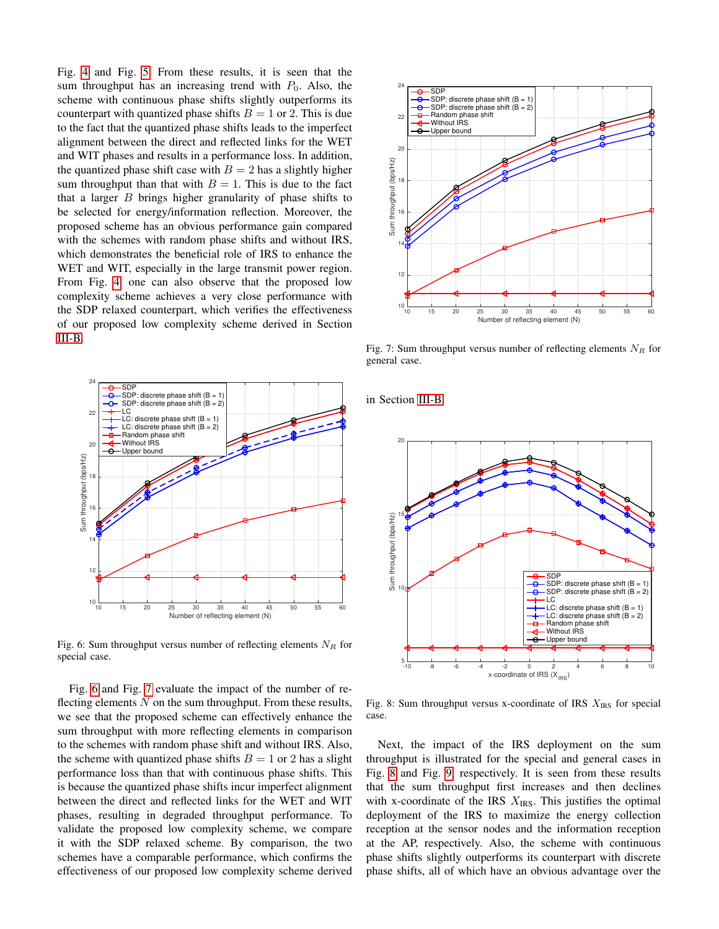Fig. [4](#page-9-0) and Fig. [5.](#page-9-1) From these results, it is seen that the sum throughput has an increasing trend with  $P_0$ . Also, the scheme with continuous phase shifts slightly outperforms its counterpart with quantized phase shifts  $B = 1$  or 2. This is due to the fact that the quantized phase shifts leads to the imperfect alignment between the direct and reflected links for the WET and WIT phases and results in a performance loss. In addition, the quantized phase shift case with  $B = 2$  has a slightly higher sum throughput than that with  $B = 1$ . This is due to the fact that a larger  $B$  brings higher granularity of phase shifts to be selected for energy/information reflection. Moreover, the proposed scheme has an obvious performance gain compared with the schemes with random phase shifts and without IRS, which demonstrates the beneficial role of IRS to enhance the WET and WIT, especially in the large transmit power region. From Fig. [4,](#page-9-0) one can also observe that the proposed low complexity scheme achieves a very close performance with the SDP relaxed counterpart, which verifies the effectiveness of our proposed low complexity scheme derived in Section [III-B.](#page-5-11)

<span id="page-10-0"></span>

Fig. 6: Sum throughput versus number of reflecting elements  $N_R$  for special case.

Fig. [6](#page-10-0) and Fig. [7](#page-10-1) evaluate the impact of the number of reflecting elements  $N$  on the sum throughput. From these results, we see that the proposed scheme can effectively enhance the sum throughput with more reflecting elements in comparison to the schemes with random phase shift and without IRS. Also, the scheme with quantized phase shifts  $B = 1$  or 2 has a slight performance loss than that with continuous phase shifts. This is because the quantized phase shifts incur imperfect alignment between the direct and reflected links for the WET and WIT phases, resulting in degraded throughput performance. To validate the proposed low complexity scheme, we compare it with the SDP relaxed scheme. By comparison, the two schemes have a comparable performance, which confirms the effectiveness of our proposed low complexity scheme derived

<span id="page-10-1"></span>

Fig. 7: Sum throughput versus number of reflecting elements  $N_R$  for general case.

in Section [III-B.](#page-5-11)

<span id="page-10-2"></span>

Fig. 8: Sum throughput versus x-coordinate of IRS  $X_{IRS}$  for special case.

Next, the impact of the IRS deployment on the sum throughput is illustrated for the special and general cases in Fig. [8](#page-10-2) and Fig. [9,](#page-11-0) respectively. It is seen from these results that the sum throughput first increases and then declines with x-coordinate of the IRS  $X_{\text{IRS}}$ . This justifies the optimal deployment of the IRS to maximize the energy collection reception at the sensor nodes and the information reception at the AP, respectively. Also, the scheme with continuous phase shifts slightly outperforms its counterpart with discrete phase shifts, all of which have an obvious advantage over the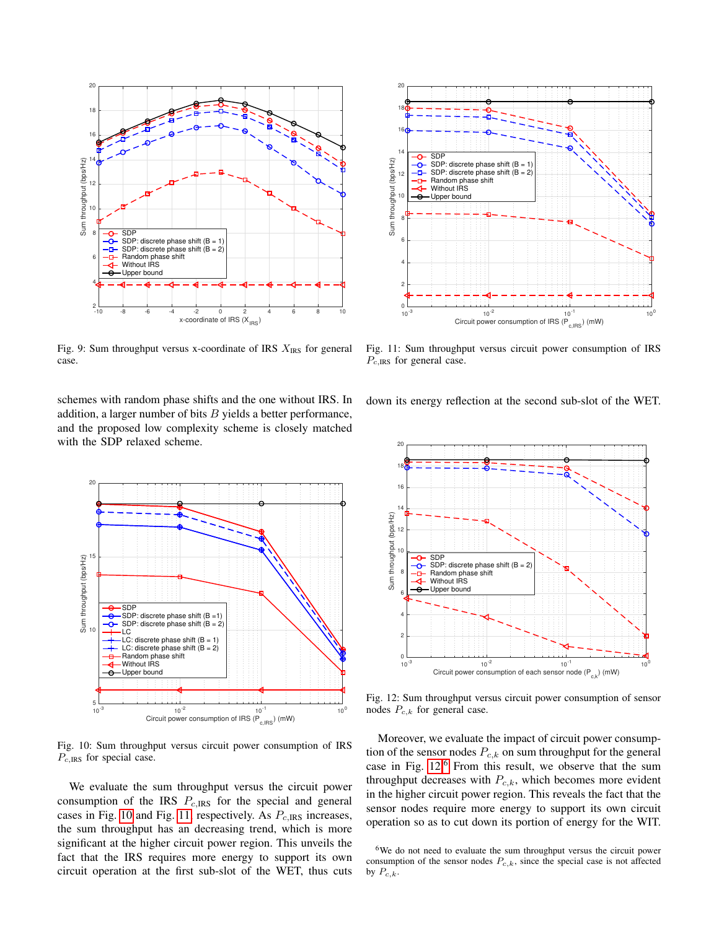<span id="page-11-0"></span>

Fig. 9: Sum throughput versus x-coordinate of IRS  $X_{\text{IRS}}$  for general case.

schemes with random phase shifts and the one without IRS. In addition, a larger number of bits  $B$  yields a better performance, and the proposed low complexity scheme is closely matched with the SDP relaxed scheme.

<span id="page-11-1"></span>

Fig. 10: Sum throughput versus circuit power consumption of IRS  $P_{c,IRS}$  for special case.

We evaluate the sum throughput versus the circuit power consumption of the IRS  $P_{c,IRS}$  for the special and general cases in Fig. [10](#page-11-1) and Fig. [11,](#page-11-2) respectively. As  $P_{c,IRS}$  increases, the sum throughput has an decreasing trend, which is more significant at the higher circuit power region. This unveils the fact that the IRS requires more energy to support its own circuit operation at the first sub-slot of the WET, thus cuts

<span id="page-11-2"></span>

Fig. 11: Sum throughput versus circuit power consumption of IRS  $P_{c,IRS}$  for general case.

down its energy reflection at the second sub-slot of the WET.

<span id="page-11-3"></span>

Fig. 12: Sum throughput versus circuit power consumption of sensor nodes  $P_{c,k}$  for general case.

Moreover, we evaluate the impact of circuit power consumption of the sensor nodes  $P_{c,k}$  on sum throughput for the general case in Fig.  $12<sup>6</sup>$  $12<sup>6</sup>$  $12<sup>6</sup>$  From this result, we observe that the sum throughput decreases with  $P_{c,k}$ , which becomes more evident in the higher circuit power region. This reveals the fact that the sensor nodes require more energy to support its own circuit operation so as to cut down its portion of energy for the WIT.

<span id="page-11-4"></span><sup>6</sup>We do not need to evaluate the sum throughput versus the circuit power consumption of the sensor nodes  $P_{c,k}$ , since the special case is not affected by  $P_{c,k}$ .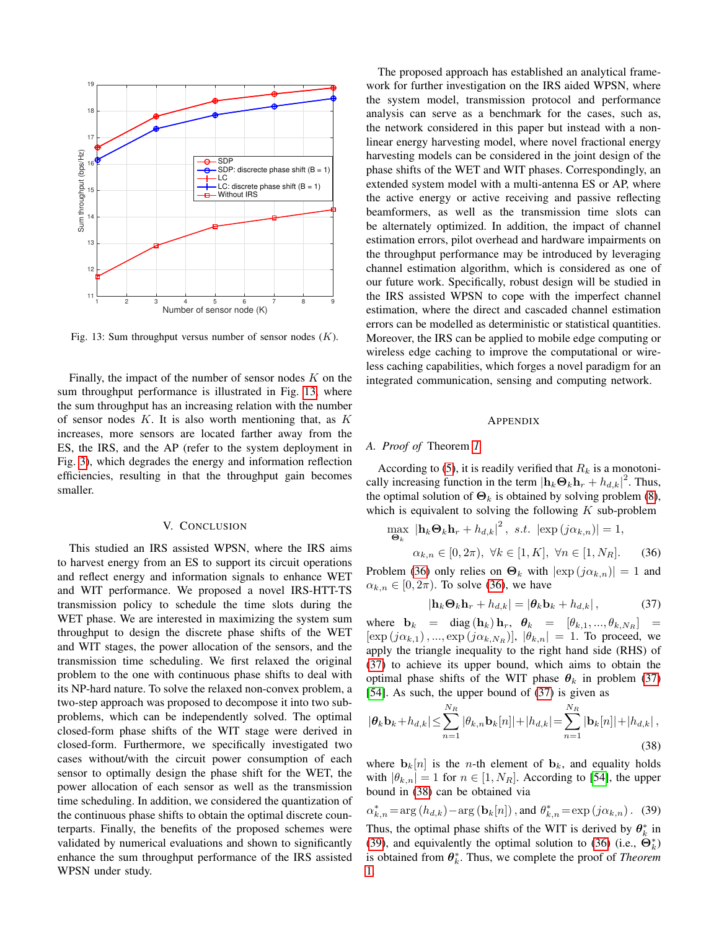<span id="page-12-3"></span>

Fig. 13: Sum throughput versus number of sensor nodes  $(K)$ .

Finally, the impact of the number of sensor nodes  $K$  on the sum throughput performance is illustrated in Fig. [13,](#page-12-3) where the sum throughput has an increasing relation with the number of sensor nodes  $K$ . It is also worth mentioning that, as  $K$ increases, more sensors are located farther away from the ES, the IRS, and the AP (refer to the system deployment in Fig. [3\)](#page-8-6), which degrades the energy and information reflection efficiencies, resulting in that the throughput gain becomes smaller.

# V. CONCLUSION

<span id="page-12-0"></span>This studied an IRS assisted WPSN, where the IRS aims to harvest energy from an ES to support its circuit operations and reflect energy and information signals to enhance WET and WIT performance. We proposed a novel IRS-HTT-TS transmission policy to schedule the time slots during the WET phase. We are interested in maximizing the system sum throughput to design the discrete phase shifts of the WET and WIT stages, the power allocation of the sensors, and the transmission time scheduling. We first relaxed the original problem to the one with continuous phase shifts to deal with its NP-hard nature. To solve the relaxed non-convex problem, a two-step approach was proposed to decompose it into two subproblems, which can be independently solved. The optimal closed-form phase shifts of the WIT stage were derived in closed-form. Furthermore, we specifically investigated two cases without/with the circuit power consumption of each sensor to optimally design the phase shift for the WET, the power allocation of each sensor as well as the transmission time scheduling. In addition, we considered the quantization of the continuous phase shifts to obtain the optimal discrete counterparts. Finally, the benefits of the proposed schemes were validated by numerical evaluations and shown to significantly enhance the sum throughput performance of the IRS assisted WPSN under study.

The proposed approach has established an analytical framework for further investigation on the IRS aided WPSN, where the system model, transmission protocol and performance analysis can serve as a benchmark for the cases, such as, the network considered in this paper but instead with a nonlinear energy harvesting model, where novel fractional energy harvesting models can be considered in the joint design of the phase shifts of the WET and WIT phases. Correspondingly, an extended system model with a multi-antenna ES or AP, where the active energy or active receiving and passive reflecting beamformers, as well as the transmission time slots can be alternately optimized. In addition, the impact of channel estimation errors, pilot overhead and hardware impairments on the throughput performance may be introduced by leveraging channel estimation algorithm, which is considered as one of our future work. Specifically, robust design will be studied in the IRS assisted WPSN to cope with the imperfect channel estimation, where the direct and cascaded channel estimation errors can be modelled as deterministic or statistical quantities. Moreover, the IRS can be applied to mobile edge computing or wireless edge caching to improve the computational or wireless caching capabilities, which forges a novel paradigm for an integrated communication, sensing and computing network.

#### <span id="page-12-4"></span>APPENDIX

# <span id="page-12-1"></span>*A. Proof of* Theorem *[1](#page-5-8)*

According to [\(5\)](#page-4-9), it is readily verified that  $R_k$  is a monotonically increasing function in the term  $|\mathbf{h}_k \Theta_k \mathbf{h}_r + h_{d,k}|^2$ . Thus, the optimal solution of  $\mathbf{\Theta}_k$  is obtained by solving problem [\(8\)](#page-5-2), which is equivalent to solving the following  $K$  sub-problem

$$
\max_{\mathbf{\Theta}_k} \left| \mathbf{h}_k \mathbf{\Theta}_k \mathbf{h}_r + h_{d,k} \right|^2, \text{ s.t. } \left| \exp(j\alpha_{k,n}) \right| = 1,
$$
  

$$
\alpha_{k,n} \in [0, 2\pi), \ \forall k \in [1, K], \ \forall n \in [1, N_R]. \tag{36}
$$

Problem [\(36\)](#page-12-4) only relies on  $\Theta_k$  with  $|\exp(j\alpha_{k,n})|=1$  and  $\alpha_{k,n} \in [0, 2\pi)$ . To solve [\(36\)](#page-12-4), we have

<span id="page-12-6"></span><span id="page-12-5"></span>
$$
|\mathbf{h}_k \mathbf{\Theta}_k \mathbf{h}_r + h_{d,k}| = |\mathbf{\theta}_k \mathbf{b}_k + h_{d,k}|,\tag{37}
$$

where  $\mathbf{b}_k = \text{diag}(\mathbf{h}_k) \mathbf{h}_r$ ,  $\boldsymbol{\theta}_k = [\theta_{k,1}, ..., \theta_{k,N_R}] =$  $[\exp(j\alpha_{k,1}), ..., \exp(j\alpha_{k,N_R})], |\theta_{k,n}| = 1$ . To proceed, we apply the triangle inequality to the right hand side (RHS) of [\(37\)](#page-12-5) to achieve its upper bound, which aims to obtain the optimal phase shifts of the WIT phase  $\theta_k$  in problem [\(37\)](#page-12-5) [\[54\]](#page-15-28). As such, the upper bound of [\(37\)](#page-12-5) is given as

$$
|\theta_k \mathbf{b}_k + h_{d,k}| \leq \sum_{n=1}^{N_R} |\theta_{k,n} \mathbf{b}_k[n]| + |h_{d,k}| = \sum_{n=1}^{N_R} |\mathbf{b}_k[n]| + |h_{d,k}|,
$$
\n(38)

where  $\mathbf{b}_k[n]$  is the *n*-th element of  $\mathbf{b}_k$ , and equality holds with  $|\theta_{k,n}| = 1$  for  $n \in [1, N_R]$ . According to [\[54\]](#page-15-28), the upper bound in [\(38\)](#page-12-6) can be obtained via

<span id="page-12-2"></span>
$$
\alpha_{k,n}^* = \arg(h_{d,k}) - \arg(\mathbf{b}_k[n])
$$
, and  $\theta_{k,n}^* = \exp(j\alpha_{k,n})$ . (39)  
Thus, the optimal phase shifts of the WIT is derived by  $\theta_k^*$  in

k [\(39\)](#page-12-2), and equivalently the optimal solution to [\(36\)](#page-12-4) (i.e.,  $\hat{\Theta}_{k}^{*}$ ) is obtained from  $\theta_k^*$ . Thus, we complete the proof of *Theorem* [1.](#page-5-8)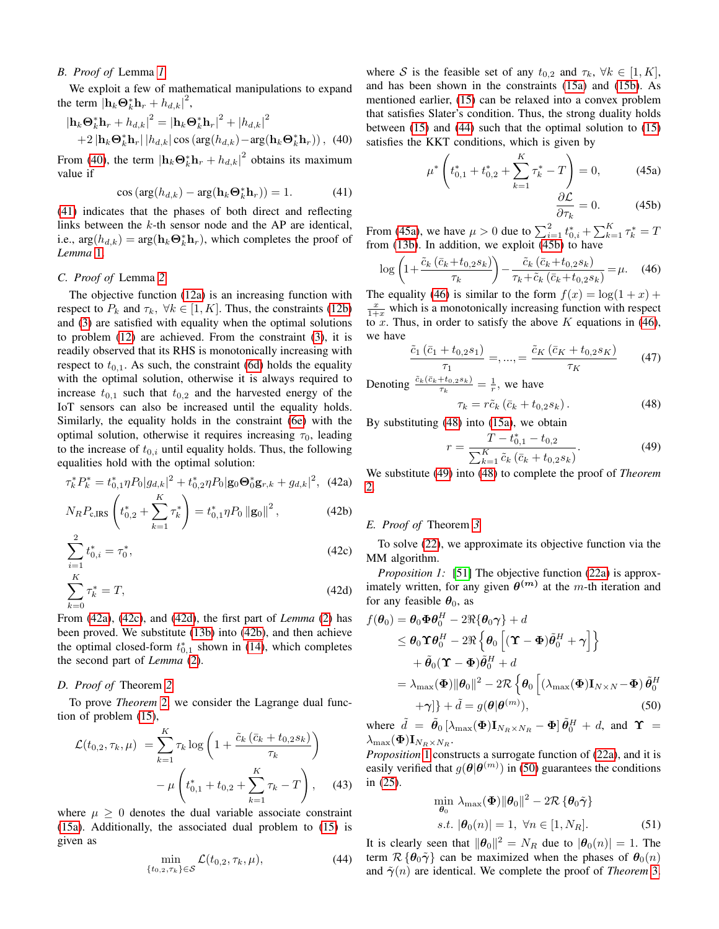# <span id="page-13-0"></span>*B. Proof of* Lemma *[1](#page-5-3)*

We exploit a few of mathematical manipulations to expand the term  $\left|\mathbf{h}_k\mathbf{\Theta}_k^*\mathbf{h}_r + h_{d,k}\right|^2$ ,

$$
|\mathbf{h}_{k}\mathbf{\Theta}_{k}^{*}\mathbf{h}_{r} + h_{d,k}|^{2} = |\mathbf{h}_{k}\mathbf{\Theta}_{k}^{*}\mathbf{h}_{r}|^{2} + |h_{d,k}|^{2}
$$
  
+2  $|\mathbf{h}_{k}\mathbf{\Theta}_{k}^{*}\mathbf{h}_{r}| |h_{d,k}| \cos (\arg(h_{d,k}) - \arg(\mathbf{h}_{k}\mathbf{\Theta}_{k}^{*}\mathbf{h}_{r}))$ , (40)

From [\(40\)](#page-13-4), the term  $\left|\mathbf{h}_{k}\mathbf{\Theta}_{k}^{*}\mathbf{h}_{r}+h_{d,k}\right|^{2}$  obtains its maximum value if

$$
\cos\left(\arg(h_{d,k}) - \arg(\mathbf{h}_k \mathbf{\Theta}_k^* \mathbf{h}_r)\right) = 1. \tag{41}
$$

[\(41\)](#page-13-5) indicates that the phases of both direct and reflecting links between the k-th sensor node and the AP are identical, i.e.,  $\arg(h_{d,k}) = \arg(\mathbf{h}_k \mathbf{\Theta}_k^* \mathbf{h}_r)$ , which completes the proof of *Lemma* [1.](#page-5-3)

# <span id="page-13-1"></span>*C. Proof of* Lemma *[2](#page-6-2)*

The objective function [\(12a\)](#page-6-16) is an increasing function with respect to  $P_k$  and  $\tau_k$ ,  $\forall k \in [1, K]$ . Thus, the constraints [\(12b\)](#page-6-17) and [\(3\)](#page-4-2) are satisfied with equality when the optimal solutions to problem [\(12\)](#page-6-1) are achieved. From the constraint [\(3\)](#page-4-2), it is readily observed that its RHS is monotonically increasing with respect to  $t_{0,1}$ . As such, the constraint [\(6d\)](#page-4-5) holds the equality with the optimal solution, otherwise it is always required to increase  $t_{0,1}$  such that  $t_{0,2}$  and the harvested energy of the IoT sensors can also be increased until the equality holds. Similarly, the equality holds in the constraint [\(6e\)](#page-4-6) with the optimal solution, otherwise it requires increasing  $\tau_0$ , leading to the increase of  $t_{0,i}$  until equality holds. Thus, the following equalities hold with the optimal solution:

$$
\tau_k^* P_k^* = t_{0,1}^* \eta P_0 |g_{d,k}|^2 + t_{0,2}^* \eta P_0 |\mathbf{g}_0 \mathbf{\Theta}_0^* \mathbf{g}_{r,k} + g_{d,k}|^2, \tag{42a}
$$

$$
N_R P_{\rm c,IRS} \left( t_{0,2}^* + \sum_{k=1}^K \tau_k^* \right) = t_{0,1}^* \eta P_0 \left\| \mathbf{g}_0 \right\|^2, \tag{42b}
$$

$$
\sum_{i=1}^{n} t_{0,i}^{*} = \tau_0^{*},\tag{42c}
$$

$$
\sum_{k=0}^{K} \tau_k^* = T,\tag{42d}
$$

From [\(42a\)](#page-13-6), [\(42c\)](#page-13-7), and [\(42d\)](#page-13-8), the first part of *Lemma* [\(2\)](#page-6-2) has been proved. We substitute [\(13b\)](#page-6-18) into [\(42b\)](#page-13-9), and then achieve the optimal closed-form  $t_{0,1}^*$  shown in [\(14\)](#page-6-14), which completes the second part of *Lemma* [\(2\)](#page-6-2).

# <span id="page-13-2"></span>*D. Proof of* Theorem *[2](#page-6-5)*

To prove *Theorem* [2,](#page-6-5) we consider the Lagrange dual function of problem [\(15\)](#page-6-3),

$$
\mathcal{L}(t_{0,2}, \tau_k, \mu) = \sum_{k=1}^{K} \tau_k \log \left( 1 + \frac{\tilde{c}_k \left( \bar{c}_k + t_{0,2} s_k \right)}{\tau_k} \right) - \mu \left( t_{0,1}^* + t_{0,2} + \sum_{k=1}^{K} \tau_k - T \right), \quad (43)
$$

where  $\mu \geq 0$  denotes the dual variable associate constraint [\(15a\)](#page-6-19). Additionally, the associated dual problem to [\(15\)](#page-6-3) is given as

$$
\min_{\{t_{0,2},\tau_k\}\in\mathcal{S}} \mathcal{L}(t_{0,2},\tau_k,\mu),\tag{44}
$$

<span id="page-13-4"></span>where S is the feasible set of any  $t_{0,2}$  and  $\tau_k$ ,  $\forall k \in [1, K]$ , and has been shown in the constraints [\(15a\)](#page-6-19) and [\(15b\)](#page-6-20). As mentioned earlier, [\(15\)](#page-6-3) can be relaxed into a convex problem that satisfies Slater's condition. Thus, the strong duality holds between [\(15\)](#page-6-3) and [\(44\)](#page-13-10) such that the optimal solution to [\(15\)](#page-6-3) satisfies the KKT conditions, which is given by

$$
\mu^* \left( t_{0,1}^* + t_{0,2}^* + \sum_{k=1}^K \tau_k^* - T \right) = 0, \tag{45a}
$$

<span id="page-13-13"></span><span id="page-13-12"></span><span id="page-13-11"></span>
$$
\frac{\partial \mathcal{L}}{\partial \tau_k} = 0. \tag{45b}
$$

<span id="page-13-5"></span>From [\(45a\)](#page-13-11), we have  $\mu > 0$  due to  $\sum_{i=1}^{2} t_{0,i}^{*} + \sum_{k=1}^{K} \tau_{k}^{*} = T$ from [\(13b\)](#page-6-18). In addition, we exploit [\(45b\)](#page-13-12) to have

$$
\log\left(1+\frac{\tilde{c}_k\left(\bar{c}_k+t_{0,2}s_k\right)}{\tau_k}\right)-\frac{\tilde{c}_k\left(\bar{c}_k+t_{0,2}s_k\right)}{\tau_k+\tilde{c}_k\left(\bar{c}_k+t_{0,2}s_k\right)}=\mu.\quad (46)
$$

The equality [\(46\)](#page-13-13) is similar to the form  $f(x) = \log(1 + x) +$  $\frac{x}{1+x}$  which is a monotonically increasing function with respect to x. Thus, in order to satisfy the above  $K$  equations in [\(46\)](#page-13-13), we have

$$
\frac{\tilde{c}_1(\bar{c}_1+t_{0,2}s_1)}{\tau_1} = ,..., = \frac{\tilde{c}_K(\bar{c}_K+t_{0,2}s_K)}{\tau_K}
$$
(47)

Denoting 
$$
\frac{\tilde{c}_k(\bar{c}_k + t_{0,2^{s_k}})}{\tau_k} = \frac{1}{r}
$$
, we have

<span id="page-13-14"></span>
$$
\tau_k = r\tilde{c}_k \left( \bar{c}_k + t_{0,2} s_k \right). \tag{48}
$$

By substituting [\(48\)](#page-13-14) into [\(15a\)](#page-6-19), we obtain

<span id="page-13-15"></span>
$$
r = \frac{T - t_{0,1}^{*} - t_{0,2}}{\sum_{k=1}^{K} \tilde{c}_k \left(\bar{c}_k + t_{0,2} s_k\right)}.
$$
\n(49)

<span id="page-13-6"></span>We substitute [\(49\)](#page-13-15) into [\(48\)](#page-13-14) to complete the proof of *Theorem* [2.](#page-6-5)

#### <span id="page-13-9"></span><span id="page-13-3"></span>*E. Proof of* Theorem *[3](#page-7-5)*

<span id="page-13-16"></span><span id="page-13-7"></span>To solve [\(22\)](#page-6-10), we approximate its objective function via the MM algorithm.

<span id="page-13-8"></span>*Proposition 1:* [\[51\]](#page-15-25) The objective function [\(22a\)](#page-6-21) is approximately written, for any given  $\theta^{(m)}$  at the m-th iteration and for any feasible  $\theta_0$ , as

$$
f(\theta_0) = \theta_0 \Phi \theta_0^H - 2\Re{\theta_0 \gamma} + d
$$
  
\n
$$
\leq \theta_0 \Upsilon \theta_0^H - 2\Re{\theta_0 \left[ (\Upsilon - \Phi) \tilde{\theta}_0^H + \gamma \right]} + \tilde{\theta}_0 (\Upsilon - \Phi) \tilde{\theta}_0^H + d
$$
  
\n
$$
= \lambda_{\max}(\Phi) \|\theta_0\|^2 - 2\Re{\theta_0 \left[ (\lambda_{\max}(\Phi) \mathbf{I}_{N \times N} - \Phi) \tilde{\theta}_0^H + \gamma \right]} + \tilde{d} = g(\theta | \theta^{(m)}),
$$
\n(50)

where  $\tilde{d} = \tilde{\theta}_0 \left[ \lambda_{\text{max}}(\Phi) \mathbf{I}_{N_R \times N_R} - \Phi \right] \tilde{\theta}_0^H + d$ , and  $\Upsilon$  =  $\lambda_{\max}(\boldsymbol \Phi) \mathbf{I}_{N_R \times N_R}$ .

*Proposition* [1](#page-13-16) constructs a surrogate function of [\(22a\)](#page-6-21), and it is easily verified that  $g(\theta | \theta^{(m)})$  in [\(50\)](#page-13-17) guarantees the conditions in [\(25\)](#page-7-1).

<span id="page-13-17"></span>
$$
\min_{\boldsymbol{\theta}_0} \lambda_{\max}(\boldsymbol{\Phi}) \|\boldsymbol{\theta}_0\|^2 - 2\mathcal{R} \left\{ \boldsymbol{\theta}_0 \tilde{\boldsymbol{\gamma}} \right\}
$$
  
s.t.  $|\boldsymbol{\theta}_0(n)| = 1, \ \forall n \in [1, N_R].$  (51)

<span id="page-13-10"></span>It is clearly seen that  $||\boldsymbol{\theta}_0||^2 = N_R$  due to  $|\boldsymbol{\theta}_0(n)| = 1$ . The term  $\mathcal{R} \{\theta_0 \tilde{\gamma}\}\$  can be maximized when the phases of  $\theta_0(n)$ and  $\tilde{\gamma}(n)$  are identical. We complete the proof of *Theorem* [3.](#page-7-5)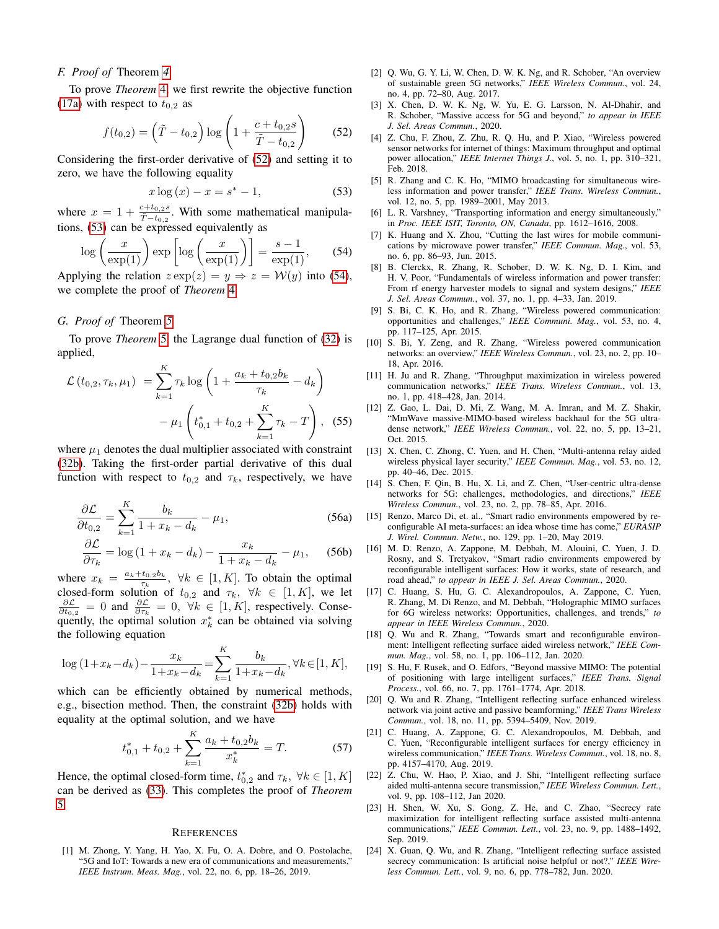# <span id="page-14-21"></span>*F. Proof of* Theorem *[4](#page-7-8)*

To prove *Theorem* [4,](#page-7-8) we first rewrite the objective function [\(17a\)](#page-6-22) with respect to  $t_{0,2}$  as

$$
f(t_{0,2}) = \left(\tilde{T} - t_{0,2}\right) \log \left(1 + \frac{c + t_{0,2} s}{\tilde{T} - t_{0,2}}\right) \tag{52}
$$

Considering the first-order derivative of [\(52\)](#page-14-23) and setting it to zero, we have the following equality

$$
x \log (x) - x = s^* - 1,
$$
 (53)

where  $x = 1 + \frac{c + t_{0,2} s}{\tilde{T} - t_{0,2}}$ . With some mathematical manipulations, [\(53\)](#page-14-24) can be expressed equivalently as

$$
\log\left(\frac{x}{\exp(1)}\right) \exp\left[\log\left(\frac{x}{\exp(1)}\right)\right] = \frac{s-1}{\exp(1)},\qquad(54)
$$

Applying the relation  $z \exp(z) = y \Rightarrow z = \mathcal{W}(y)$  into [\(54\)](#page-14-25), we complete the proof of *Theorem* [4.](#page-7-8)

## <span id="page-14-22"></span>*G. Proof of* Theorem *[5](#page-8-4)*

To prove *Theorem* [5,](#page-8-4) the Lagrange dual function of [\(32\)](#page-8-3) is applied,

$$
\mathcal{L}(t_{0,2}, \tau_k, \mu_1) = \sum_{k=1}^{K} \tau_k \log \left( 1 + \frac{a_k + t_{0,2}b_k}{\tau_k} - d_k \right) - \mu_1 \left( t_{0,1}^* + t_{0,2} + \sum_{k=1}^{K} \tau_k - T \right), \quad (55)
$$

where  $\mu_1$  denotes the dual multiplier associated with constraint [\(32b\)](#page-8-7). Taking the first-order partial derivative of this dual function with respect to  $t_{0,2}$  and  $\tau_k$ , respectively, we have

$$
\frac{\partial \mathcal{L}}{\partial t_{0,2}} = \sum_{k=1}^{K} \frac{b_k}{1 + x_k - d_k} - \mu_1,\tag{56a}
$$

$$
\frac{\partial \mathcal{L}}{\partial \tau_k} = \log\left(1 + x_k - d_k\right) - \frac{x_k}{1 + x_k - d_k} - \mu_1,\tag{56b}
$$

where  $x_k = \frac{a_k + t_{0,2}b_k}{\tau_k}$  $\tau_{k,\tau_{k}}^{t_{0,20k}}, \forall k \in [1,K].$  To obtain the optimal closed-form solution of  $t_{0,2}$  and  $\tau_k$ ,  $\forall k \in [1, K]$ , we let  $\frac{\partial \mathcal{L}}{\partial t_{0,2}} = 0$  and  $\frac{\partial \mathcal{L}}{\partial \tau_k} = 0$ ,  $\forall k \in [1, K]$ , respectively. Consequently, the optimal solution  $x_k^*$  can be obtained via solving the following equation

$$
\log (1 + x_k - d_k) - \frac{x_k}{1 + x_k - d_k} = \sum_{k=1}^K \frac{b_k}{1 + x_k - d_k}, \forall k \in [1, K],
$$

which can be efficiently obtained by numerical methods, e.g., bisection method. Then, the constraint [\(32b\)](#page-8-7) holds with equality at the optimal solution, and we have

$$
t_{0,1}^* + t_{0,2} + \sum_{k=1}^K \frac{a_k + t_{0,2}b_k}{x_k^*} = T.
$$
 (57)

Hence, the optimal closed-form time,  $t_{0,2}^*$  and  $\tau_k$ ,  $\forall k \in [1, K]$ can be derived as [\(33\)](#page-8-8). This completes the proof of *Theorem* [5.](#page-8-4)

## **REFERENCES**

<span id="page-14-0"></span>[1] M. Zhong, Y. Yang, H. Yao, X. Fu, O. A. Dobre, and O. Postolache, "5G and IoT: Towards a new era of communications and measurements," *IEEE Instrum. Meas. Mag.*, vol. 22, no. 6, pp. 18–26, 2019.

- <span id="page-14-1"></span>[2] Q. Wu, G. Y. Li, W. Chen, D. W. K. Ng, and R. Schober, "An overview of sustainable green 5G networks," *IEEE Wireless Commun.*, vol. 24, no. 4, pp. 72–80, Aug. 2017.
- <span id="page-14-2"></span>[3] X. Chen, D. W. K. Ng, W. Yu, E. G. Larsson, N. Al-Dhahir, and R. Schober, "Massive access for 5G and beyond," *to appear in IEEE J. Sel. Areas Commun.*, 2020.
- <span id="page-14-23"></span><span id="page-14-3"></span>[4] Z. Chu, F. Zhou, Z. Zhu, R. Q. Hu, and P. Xiao, "Wireless powered sensor networks for internet of things: Maximum throughput and optimal power allocation," *IEEE Internet Things J.*, vol. 5, no. 1, pp. 310–321, Feb. 2018.
- <span id="page-14-24"></span><span id="page-14-4"></span>[5] R. Zhang and C. K. Ho, "MIMO broadcasting for simultaneous wireless information and power transfer," *IEEE Trans. Wireless Commun.*, vol. 12, no. 5, pp. 1989–2001, May 2013.
- [6] L. R. Varshney, "Transporting information and energy simultaneously," in *Proc. IEEE ISIT, Toronto, ON, Canada*, pp. 1612–1616, 2008.
- <span id="page-14-25"></span>[7] K. Huang and X. Zhou, "Cutting the last wires for mobile communications by microwave power transfer," *IEEE Commun. Mag.*, vol. 53, no. 6, pp. 86–93, Jun. 2015.
- <span id="page-14-5"></span>[8] B. Clerckx, R. Zhang, R. Schober, D. W. K. Ng, D. I. Kim, and H. V. Poor, "Fundamentals of wireless information and power transfer: From rf energy harvester models to signal and system designs," *IEEE J. Sel. Areas Commun.*, vol. 37, no. 1, pp. 4–33, Jan. 2019.
- <span id="page-14-6"></span>[9] S. Bi, C. K. Ho, and R. Zhang, "Wireless powered communication: opportunities and challenges," *IEEE Communi. Mag.*, vol. 53, no. 4, pp. 117–125, Apr. 2015.
- <span id="page-14-7"></span>[10] S. Bi, Y. Zeng, and R. Zhang, "Wireless powered communication networks: an overview," *IEEE Wireless Commun.*, vol. 23, no. 2, pp. 10– 18, Apr. 2016.
- <span id="page-14-8"></span>[11] H. Ju and R. Zhang, "Throughput maximization in wireless powered communication networks," *IEEE Trans. Wireless Commun.*, vol. 13, no. 1, pp. 418–428, Jan. 2014.
- <span id="page-14-9"></span>[12] Z. Gao, L. Dai, D. Mi, Z. Wang, M. A. Imran, and M. Z. Shakir, "MmWave massive-MIMO-based wireless backhaul for the 5G ultradense network," *IEEE Wireless Commun.*, vol. 22, no. 5, pp. 13–21, Oct. 2015.
- [13] X. Chen, C. Zhong, C. Yuen, and H. Chen, "Multi-antenna relay aided wireless physical layer security," *IEEE Commun. Mag.*, vol. 53, no. 12, pp. 40–46, Dec. 2015.
- <span id="page-14-10"></span>[14] S. Chen, F. Qin, B. Hu, X. Li, and Z. Chen, "User-centric ultra-dense networks for 5G: challenges, methodologies, and directions," *IEEE Wireless Commun.*, vol. 23, no. 2, pp. 78–85, Apr. 2016.
- <span id="page-14-11"></span>[15] Renzo, Marco Di, et. al., "Smart radio environments empowered by reconfigurable AI meta-surfaces: an idea whose time has come," *EURASIP J. Wirel. Commun. Netw.*, no. 129, pp. 1–20, May 2019.
- <span id="page-14-12"></span>[16] M. D. Renzo, A. Zappone, M. Debbah, M. Alouini, C. Yuen, J. D. Rosny, and S. Tretyakov, "Smart radio environments empowered by reconfigurable intelligent surfaces: How it works, state of research, and road ahead," *to appear in IEEE J. Sel. Areas Commun.*, 2020.
- <span id="page-14-13"></span>[17] C. Huang, S. Hu, G. C. Alexandropoulos, A. Zappone, C. Yuen, R. Zhang, M. Di Renzo, and M. Debbah, "Holographic MIMO surfaces for 6G wireless networks: Opportunities, challenges, and trends," *to appear in IEEE Wireless Commun.*, 2020.
- <span id="page-14-14"></span>[18] Q. Wu and R. Zhang, "Towards smart and reconfigurable environment: Intelligent reflecting surface aided wireless network," *IEEE Commun. Mag.*, vol. 58, no. 1, pp. 106–112, Jan. 2020.
- <span id="page-14-15"></span>[19] S. Hu, F. Rusek, and O. Edfors, "Beyond massive MIMO: The potential of positioning with large intelligent surfaces," *IEEE Trans. Signal Process.*, vol. 66, no. 7, pp. 1761–1774, Apr. 2018.
- <span id="page-14-16"></span>[20] Q. Wu and R. Zhang, "Intelligent reflecting surface enhanced wireless network via joint active and passive beamforming," *IEEE Trans Wireless Commun.*, vol. 18, no. 11, pp. 5394–5409, Nov. 2019.
- <span id="page-14-17"></span>[21] C. Huang, A. Zappone, G. C. Alexandropoulos, M. Debbah, and C. Yuen, "Reconfigurable intelligent surfaces for energy efficiency in wireless communication," *IEEE Trans. Wireless Commun.*, vol. 18, no. 8, pp. 4157–4170, Aug. 2019.
- <span id="page-14-18"></span>[22] Z. Chu, W. Hao, P. Xiao, and J. Shi, "Intelligent reflecting surface aided multi-antenna secure transmission," *IEEE Wireless Commun. Lett.*, vol. 9, pp. 108–112, Jan 2020.
- <span id="page-14-20"></span>[23] H. Shen, W. Xu, S. Gong, Z. He, and C. Zhao, "Secrecy rate maximization for intelligent reflecting surface assisted multi-antenna communications," *IEEE Commun. Lett.*, vol. 23, no. 9, pp. 1488–1492, Sep. 2019.
- <span id="page-14-19"></span>[24] X. Guan, Q. Wu, and R. Zhang, "Intelligent reflecting surface assisted secrecy communication: Is artificial noise helpful or not?," *IEEE Wireless Commun. Lett.*, vol. 9, no. 6, pp. 778–782, Jun. 2020.